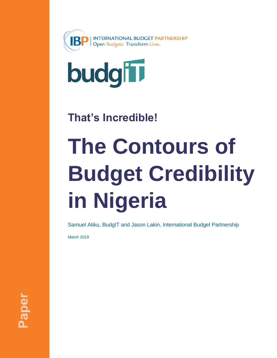



# **That's Incredible!**

# **The Contours of Budget Credibility in Nigeria**

Samuel Atiku, BudgIT and Jason Lakin, International Budget Partnership

March 2019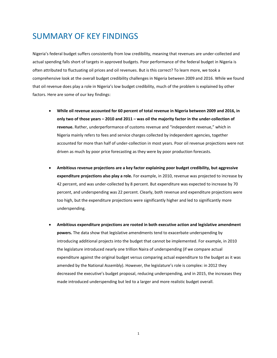# SUMMARY OF KEY FINDINGS

Nigeria's federal budget suffers consistently from low credibility, meaning that revenues are under-collected and actual spending falls short of targets in approved budgets. Poor performance of the federal budget in Nigeria is often attributed to fluctuating oil prices and oil revenues. But is this correct? To learn more, we took a comprehensive look at the overall budget credibility challenges in Nigeria between 2009 and 2016. While we found that oil revenue does play a role in Nigeria's low budget credibility, much of the problem is explained by other factors. Here are some of our key findings:

- **While oil revenue accounted for 60 percent of total revenue in Nigeria between 2009 and 2016, in only two of those years – 2010 and 2011 – was oil the majority factor in the under-collection of revenue.** Rather, underperformance of customs revenue and "independent revenue," which in Nigeria mainly refers to fees and service charges collected by independent agencies, together accounted for more than half of under-collection in most years. Poor oil revenue projections were not driven as much by poor price forecasting as they were by poor production forecasts.
- **Ambitious revenue projections are a key factor explaining poor budget credibility, but aggressive expenditure projections also play a role.** For example, in 2010, revenue was projected to increase by 42 percent, and was under-collected by 8 percent. But expenditure was expected to increase by 70 percent, and underspending was 22 percent. Clearly, both revenue and expenditure projections were too high, but the expenditure projections were significantly higher and led to significantly more underspending.
- **Ambitious expenditure projections are rooted in both executive action and legislative amendment powers.** The data show that legislative amendments tend to exacerbate underspending by introducing additional projects into the budget that cannot be implemented. For example, in 2010 the legislature introduced nearly one trillion Naira of underspending (if we compare actual expenditure against the original budget versus comparing actual expenditure to the budget as it was amended by the National Assembly). However, the legislature's role is complex: in 2012 they decreased the executive's budget proposal, reducing underspending, and in 2015, the increases they made introduced underspending but led to a larger and more realistic budget overall.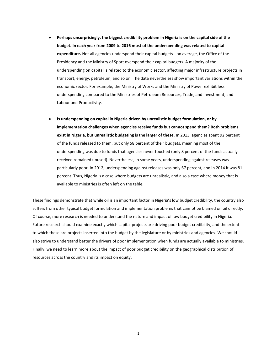- **Perhaps unsurprisingly, the biggest credibility problem in Nigeria is on the capital side of the budget. In each year from 2009 to 2016 most of the underspending was related to capital expenditure.** Not all agencies underspend their capital budgets - on average, the Office of the Presidency and the Ministry of Sport overspend their capital budgets. A majority of the underspending on capital is related to the economic sector, affecting major infrastructure projects in transport, energy, petroleum, and so on. The data nevertheless show important variations within the economic sector. For example, the Ministry of Works and the Ministry of Power exhibit less underspending compared to the Ministries of Petroleum Resources, Trade, and Investment, and Labour and Productivity.
- **Is underspending on capital in Nigeria driven by unrealistic budget formulation, or by implementation challenges when agencies receive funds but cannot spend them? Both problems exist in Nigeria, but unrealistic budgeting is the larger of these.** In 2013, agencies spent 92 percent of the funds released to them, but only 58 percent of their budgets, meaning most of the underspending was due to funds that agencies never touched (only 8 percent of the funds actually received remained unused). Nevertheless, in some years, underspending against releases was particularly poor. In 2012, underspending against releases was only 67 percent, and in 2014 it was 81 percent. Thus, Nigeria is a case where budgets are unrealistic, and also a case where money that is available to ministries is often left on the table.

These findings demonstrate that while oil is an important factor in Nigeria's low budget credibility, the country also suffers from other typical budget formulation and implementation problems that cannot be blamed on oil directly. Of course, more research is needed to understand the nature and impact of low budget credibility in Nigeria. Future research should examine exactly which capital projects are driving poor budget credibility, and the extent to which these are projects inserted into the budget by the legislature or by ministries and agencies. We should also strive to understand better the drivers of poor implementation when funds are actually available to ministries. Finally, we need to learn more about the impact of poor budget credibility on the geographical distribution of resources across the country and its impact on equity.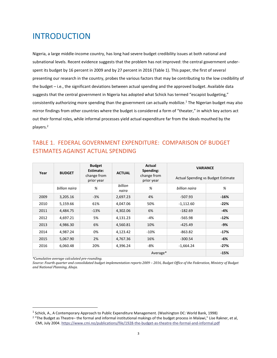# INTRODUCTION

Nigeria, a large middle-income country, has long had severe budget credibility issues at both national and subnational levels. Recent evidence suggests that the problem has not improved: the central government underspent its budget by 16 percent in 2009 and by 27 percent in 2016 (Table 1). This paper, the first of several presenting our research in the country, probes the various factors that may be contributing to the low credibility of the budget – i.e., the significant deviations between actual spending and the approved budget. Available data suggests that the central government in Nigeria has adopted what Schick has termed "escapist budgeting," consistently authorizing more spending than the government can actually mobilize.<sup>1</sup> The Nigerian budget may also mirror findings from other countries where the budget is considered a form of "theater," in which key actors act out their formal roles, while informal processes yield actual expenditure far from the ideals mouthed by the players.<sup>2</sup>

#### TABLE 1. FEDERAL GOVERNMENT EXPENDITURE: COMPARISON OF BUDGET ESTIMATES AGAINST ACTUAL SPENDING

|      |               | <b>Budget</b><br>Estimate: |                  | Actual<br>Spending:       | <b>VARIANCE</b>                           |        |
|------|---------------|----------------------------|------------------|---------------------------|-------------------------------------------|--------|
| Year | <b>BUDGET</b> | change from<br>prior year  | <b>ACTUAL</b>    | change from<br>prior year | <b>Actual Spending vs Budget Estimate</b> |        |
|      | billion naira | %                          | billion<br>naira | %                         | billion naira                             | %      |
| 2009 | 3,205.16      | $-3%$                      | 2,697.23         | 4%                        | $-507.93$                                 | $-16%$ |
| 2010 | 5,159.66      | 61%                        | 4,047.06         | 50%                       | $-1,112.60$                               | $-22%$ |
| 2011 | 4,484.75      | $-13%$                     | 4,302.06         | 6%                        | $-182.69$                                 | -4%    |
| 2012 | 4,697.21      | 5%                         | 4,131.23         | -4%                       | $-565.98$                                 | $-12%$ |
| 2013 | 4,986.30      | 6%                         | 4,560.81         | 10%                       | $-425.49$                                 | $-9%$  |
| 2014 | 4,987.24      | 0%                         | 4,123.42         | $-10%$                    | $-863.82$                                 | $-17%$ |
| 2015 | 5,067.90      | 2%                         | 4,767.36         | 16%                       | $-300.54$                                 | -6%    |
| 2016 | 6,060.48      | 20%                        | 4,396.24         | -8%                       | $-1,664.24$                               | $-27%$ |
|      | $-15%$        |                            |                  |                           |                                           |        |

*\*Cumulative average calculated pre-rounding.*

<u>.</u>

Source: Fourth quarter and consolidated budget implementation reports 2009 - 2016, Budget Office of the Federation, Ministry of Budget *and National Planning, Abuja.* 

<sup>&</sup>lt;sup>1</sup> Schick, A., A Contemporary Approach to Public Expenditure Management. (Washington DC: World Bank, 1998)

<sup>&</sup>lt;sup>2</sup> "The Budget as Theatre- the formal and informal institutional makings of the budget process in Malawi," Lise Rakner, et al, CMI, July 2004.<https://www.cmi.no/publications/file/1928-the-budget-as-theatre-the-formal-and-informal.pdf>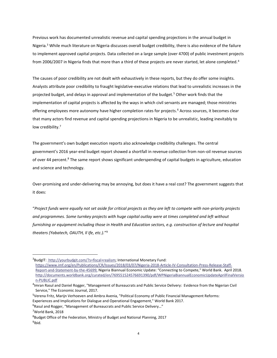Previous work has documented unrealistic revenue and capital spending projections in the annual budget in Nigeria.<sup>3</sup> While much literature on Nigeria discusses overall budget credibility, there is also evidence of the failure to implement approved capital projects. Data collected on a large sample (over 4700) of public investment projects from 2006/2007 in Nigeria finds that more than a third of these projects are never started, let alone completed.<sup>4</sup>

The causes of poor credibility are not dealt with exhaustively in these reports, but they do offer some insights. Analysts attribute poor credibility to fraught legislative-executive relations that lead to unrealistic increases in the projected budget, and delays in approval and implementation of the budget.<sup>5</sup> Other work finds that the implementation of capital projects is affected by the ways in which civil servants are managed; those ministries offering employees more autonomy have higher completion rates for projects. <sup>6</sup> Across sources, it becomes clear that many actors find revenue and capital spending projections in Nigeria to be unrealistic, leading inevitably to low credibility.<sup>7</sup>

The government's own budget execution reports also acknowledge credibility challenges. The central government's 2016 year-end budget report showed a shortfall in revenue collection from non-oil revenue sources of over 44 percent.<sup>8</sup> The same report shows significant underspending of capital budgets in agriculture, education and science and technology.

Over-promising and under-delivering may be annoying, but does it have a real cost? The government suggests that it does:

"*Project funds were equally not set aside for critical projects as they are left to compete with non-priority projects and programmes. Some turnkey projects with huge capital outlay were at times completed and left without furnishing or equipment including those in Health and Education sectors, e.g. construction of lecture and hospital theaters (Yabatech, OAUTH, Il Ife, etc.).*" 9

L,

<sup>3</sup>BudgIT: [http://yourbudgit.com/?s=fiscal+realism;](http://yourbudgit.com/?s=fiscal+realism) International Monetary Fund: [https://www.imf.org/en/Publications/CR/Issues/2018/03/07/Nigeria-2018-Article-IV-Consultation-Press-Release-Staff-](https://www.imf.org/en/Publications/CR/Issues/2018/03/07/Nigeria-2018-Article-IV-Consultation-Press-Release-Staff-Report-and-Statement-by-the-45699)[Report-and-Statement-by-the-45699;](https://www.imf.org/en/Publications/CR/Issues/2018/03/07/Nigeria-2018-Article-IV-Consultation-Press-Release-Staff-Report-and-Statement-by-the-45699) Nigeria Biannual Economic Update: "Connecting to Compete," World Bank. April 2018. [http://documents.worldbank.org/curated/en/769551524576691390/pdf/WPNigeriaBiannualEconomicUpdateAprilFinalVersio](http://documents.worldbank.org/curated/en/769551524576691390/pdf/WPNigeriaBiannualEconomicUpdateAprilFinalVersion-PUBLIC.pdf) [n-PUBLIC.pdf](http://documents.worldbank.org/curated/en/769551524576691390/pdf/WPNigeriaBiannualEconomicUpdateAprilFinalVersion-PUBLIC.pdf)

<sup>4</sup> Imran Rasul and Daniel Rogger, "Management of Bureaucrats and Public Service Delivery: Evidence from the Nigerian Civil Service," The Economic Journal, 2017.

<sup>&</sup>lt;sup>5</sup>Verena Fritz, Marijn Verhoeven and Ambra Avenia, "Political Economy of Public Financial Management Reforms: Experiences and Implications for Dialogue and Operational Engagement," World Bank 2017.

 $6R$ asul and Rogger, "Management of Bureaucrats and Public Service Delivery..."

<sup>7</sup>World Bank, 2018

<sup>&</sup>lt;sup>8</sup>Budget Office of the Federation, Ministry of Budget and National Planning, 2017 <sup>9</sup>lbid.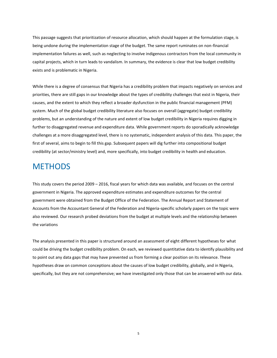This passage suggests that prioritization of resource allocation, which should happen at the formulation stage, is being undone during the implementation stage of the budget. The same report ruminates on non-financial implementation failures as well, such as neglecting to involve indigenous contractors from the local community in capital projects, which in turn leads to vandalism. In summary, the evidence is clear that low budget credibility exists and is problematic in Nigeria.

While there is a degree of consensus that Nigeria has a credibility problem that impacts negatively on services and priorities, there are still gaps in our knowledge about the types of credibility challenges that exist in Nigeria, their causes, and the extent to which they reflect a broader dysfunction in the public financial management (PFM) system. Much of the global budget credibility literature also focuses on overall (aggregate) budget credibility problems, but an understanding of the nature and extent of low budget credibility in Nigeria requires digging in further to disaggregated revenue and expenditure data. While government reports do sporadically acknowledge challenges at a more disaggregated level, there is no systematic, independent analysis of this data. This paper, the first of several, aims to begin to fill this gap. Subsequent papers will dig further into compositional budget credibility (at sector/ministry level) and, more specifically, into budget credibility in health and education.

## **METHODS**

This study covers the period 2009 – 2016, fiscal years for which data was available, and focuses on the central government in Nigeria. The approved expenditure estimates and expenditure outcomes for the central government were obtained from the Budget Office of the Federation. The Annual Report and Statement of Accounts from the Accountant General of the Federation and Nigeria-specific scholarly papers on the topic were also reviewed. Our research probed deviations from the budget at multiple levels and the relationship between the variations

The analysis presented in this paper is structured around an assessment of eight different hypotheses for what could be driving the budget credibility problem. On each, we reviewed quantitative data to identify plausibility and to point out any data gaps that may have prevented us from forming a clear position on its relevance. These hypotheses draw on common conceptions about the causes of low budget credibility, globally, and in Nigeria, specifically, but they are not comprehensive; we have investigated only those that can be answered with our data.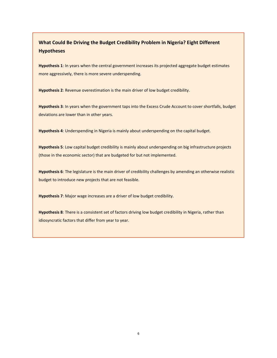#### **What Could Be Driving the Budget Credibility Problem in Nigeria? Eight Different Hypotheses**

**Hypothesis 1**: In years when the central government increases its projected aggregate budget estimates more aggressively, there is more severe underspending.

**Hypothesis 2**: Revenue overestimation is the main driver of low budget credibility.

**Hypothesis 3**: In years when the government taps into the Excess Crude Account to cover shortfalls, budget deviations are lower than in other years.

**Hypothesis 4**: Underspending in Nigeria is mainly about underspending on the capital budget.

**Hypothesis 5**: Low capital budget credibility is mainly about underspending on big infrastructure projects (those in the economic sector) that are budgeted for but not implemented.

**Hypothesis 6**: The legislature is the main driver of credibility challenges by amending an otherwise realistic budget to introduce new projects that are not feasible.

**Hypothesis 7**: Major wage increases are a driver of low budget credibility.

**Hypothesis 8**: There is a consistent set of factors driving low budget credibility in Nigeria, rather than idiosyncratic factors that differ from year to year.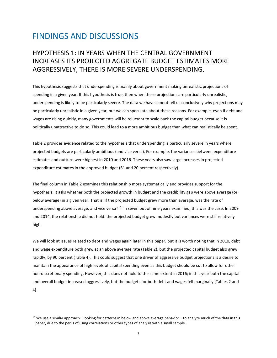# FINDINGS AND DISCUSSIONS

## HYPOTHESIS 1: IN YEARS WHEN THE CENTRAL GOVERNMENT INCREASES ITS PROJECTED AGGREGATE BUDGET ESTIMATES MORE AGGRESSIVELY, THERE IS MORE SEVERE UNDERSPENDING.

This hypothesis suggests that underspending is mainly about government making unrealistic projections of spending in a given year. If this hypothesis is true, then when these projections are particularly unrealistic, underspending is likely to be particularly severe. The data we have cannot tell us conclusively why projections may be particularly unrealistic in a given year, but we can speculate about these reasons. For example, even if debt and wages are rising quickly, many governments will be reluctant to scale back the capital budget because it is politically unattractive to do so. This could lead to a more ambitious budget than what can realistically be spent.

Table 2 provides evidence related to the hypothesis that underspending is particularly severe in years where projected budgets are particularly ambitious (and vice versa). For example, the variances between expenditure estimates and outturn were highest in 2010 and 2016. These years also saw large increases in projected expenditure estimates in the approved budget (61 and 20 percent respectively).

The final column in Table 2 examines this relationship more systematically and provides support for the hypothesis. It asks whether both the projected growth in budget and the credibility gap were above average (or below average) in a given year. That is, if the projected budget grew more than average, was the rate of underspending above average, and vice versa?<sup>10</sup> In seven out of nine years examined, this was the case. In 2009 and 2014, the relationship did not hold: the projected budget grew modestly but variances were still relatively high.

We will look at issues related to debt and wages again later in this paper, but it is worth noting that in 2010, debt and wage expenditure both grew at an above average rate (Table 2), but the projected capital budget also grew rapidly, by 90 percent (Table 4). This could suggest that one driver of aggressive budget projections is a desire to maintain the appearance of high levels of capital spending even as this budget should be cut to allow for other non-discretionary spending. However, this does not hold to the same extent in 2016; in this year both the capital and overall budget increased aggressively, but the budgets for both debt and wages fell marginally (Tables 2 and 4).

L,

 $10$  We use a similar approach – looking for patterns in below and above average behavior – to analyze much of the data in this paper, due to the perils of using correlations or other types of analysis with a small sample.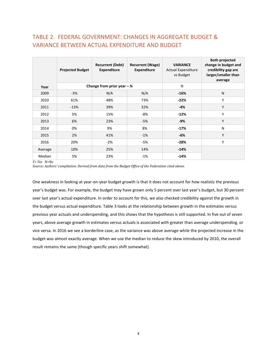#### TABLE 2. FEDERAL GOVERNMENT: CHANGES IN AGGREGATE BUDGET & VARIANCE BETWEEN ACTUAL EXPENDITURE AND BUDGET

|         | <b>Projected Budget</b> | <b>Recurrent (Debt)</b><br><b>Expenditure</b> | <b>Recurrent (Wage)</b><br><b>Expenditure</b> | <b>VARIANCE</b><br><b>Actual Expenditure</b><br>vs Budget | <b>Both projected</b><br>change in budget and<br>credibility gap are<br>larger/smaller than<br>average |
|---------|-------------------------|-----------------------------------------------|-----------------------------------------------|-----------------------------------------------------------|--------------------------------------------------------------------------------------------------------|
| Year    |                         | Change from prior year $-$ %                  |                                               | %                                                         |                                                                                                        |
| 2009    | $-3%$                   | N/A                                           | N/A                                           | $-16%$                                                    | N                                                                                                      |
| 2010    | 61%                     | 48%                                           | 73%                                           | $-22%$                                                    | Υ                                                                                                      |
| 2011    | $-13%$                  | 39%                                           | 32%                                           | $-4%$                                                     | Y                                                                                                      |
| 2012    | 5%                      | 15%                                           | -8%                                           | $-12%$                                                    | Υ                                                                                                      |
| 2013    | 6%                      | 23%                                           | $-5%$                                         | $-9%$                                                     | Y                                                                                                      |
| 2014    | 0%                      | 9%                                            | 8%                                            | $-17%$                                                    | N                                                                                                      |
| 2015    | 2%                      | 41%                                           | $-1%$                                         | $-6%$                                                     | Y                                                                                                      |
| 2016    | 20%                     | $-2%$                                         | -5%                                           | $-28%$                                                    | Υ                                                                                                      |
| Average | 10%                     | 25%                                           | 14%                                           | $-14%$                                                    |                                                                                                        |
| Median  | 5%                      | 23%                                           | $-1%$                                         | -14%                                                      |                                                                                                        |

*Y= Yes N=No*

*Source: Authors' compilation. Derived from data from the Budget Office of the Federation cited above.*

One weakness in looking at year-on-year budget growth is that it does not account for how realistic the previous year's budget was. For example, the budget may have grown only 5 percent over last year's budget, but 30 percent over last year's actual expenditure. In order to account for this, we also checked credibility against the growth in the budget versus actual expenditure. Table 3 looks at the relationship between growth in the estimates versus previous year actuals and underspending, and this shows that the hypothesis is still supported. In five out of seven years, above average growth in estimates versus actuals is associated with greater than average underspending, or vice versa. In 2016 we see a borderline case, as the variance was above average while the projected increase in the budget was almost exactly average. When we use the median to reduce the skew introduced by 2010, the overall result remains the same (though specific years shift somewhat).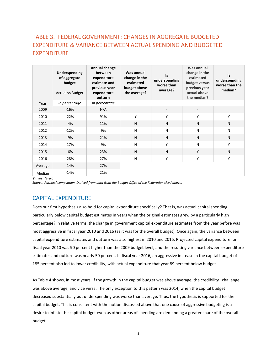#### TABLE 3. FEDERAL GOVERNMENT: CHANGES IN AGGREGATE BUDGETED EXPENDITURE & VARIANCE BETWEEN ACTUAL SPENDING AND BUDGETED EXPENDITURE

|         | Underspending<br>of aggregate<br>budget<br>Actual vs Budget | Annual change<br>between<br>expenditure<br>estimate and<br>previous year<br>expenditure<br>outturn | Was annual<br>change in the<br>estimated<br>budget above<br>the average? | <b>Is</b><br>underspending<br>worse than<br>average? | Was annual<br>change in the<br>estimated<br>budget versus<br>previous year<br>actual above<br>the median? | Is<br>underspending<br>worse than the<br>median? |
|---------|-------------------------------------------------------------|----------------------------------------------------------------------------------------------------|--------------------------------------------------------------------------|------------------------------------------------------|-----------------------------------------------------------------------------------------------------------|--------------------------------------------------|
| Year    | In percentage                                               | In percentage                                                                                      |                                                                          |                                                      |                                                                                                           |                                                  |
| 2009    | $-16%$                                                      | N/A                                                                                                |                                                                          |                                                      |                                                                                                           |                                                  |
| 2010    | $-22%$                                                      | 91%                                                                                                | Υ                                                                        | Υ                                                    | Υ                                                                                                         | Υ                                                |
| 2011    | $-4%$                                                       | 11%                                                                                                | N                                                                        | N                                                    | N                                                                                                         | N                                                |
| 2012    | $-12%$                                                      | 9%                                                                                                 | N                                                                        | N                                                    | N                                                                                                         | N                                                |
| 2013    | $-9%$                                                       | 21%                                                                                                | N                                                                        | N                                                    | N                                                                                                         | N                                                |
| 2014    | $-17%$                                                      | 9%                                                                                                 | N                                                                        | Y                                                    | N                                                                                                         | Y                                                |
| 2015    | -6%                                                         | 23%                                                                                                | N                                                                        | N                                                    | Y                                                                                                         | N                                                |
| 2016    | $-28%$                                                      | 27%                                                                                                | N                                                                        | Υ                                                    | Υ                                                                                                         | Υ                                                |
| Average | $-14%$                                                      | 27%                                                                                                |                                                                          |                                                      |                                                                                                           |                                                  |
| Median  | $-14%$                                                      | 21%                                                                                                |                                                                          |                                                      |                                                                                                           |                                                  |

*Y= Yes N=No*

*Source: Authors' compilation. Derived from data from the Budget Office of the Federation cited above.*

#### CAPITAL EXPENDITURE

Does our first hypothesis also hold for capital expenditure specifically? That is, was actual capital spending particularly below capital budget estimates in years when the original estimates grew by a particularly high percentage? In relative terms, the change in government capital expenditure estimates from the year before was most aggressive in fiscal year 2010 and 2016 (as it was for the overall budget). Once again, the variance between capital expenditure estimates and outturn was also highest in 2010 and 2016. Projected capital expenditure for fiscal year 2010 was 90 percent higher than the 2009 budget level, and the resulting variance between expenditure estimates and outturn was nearly 50 percent. In fiscal year 2016, an aggressive increase in the capital budget of 185 percent also led to lower credibility, with actual expenditure that year 89 percent below budget.

As Table 4 shows, in most years, if the growth in the capital budget was above average, the credibility challenge was above average, and vice versa. The only exception to this pattern was 2014, when the capital budget decreased substantially but underspending was worse than average. Thus, the hypothesis is supported for the capital budget. This is consistent with the notion discussed above that one cause of aggressive budgeting is a desire to inflate the capital budget even as other areas of spending are demanding a greater share of the overall budget.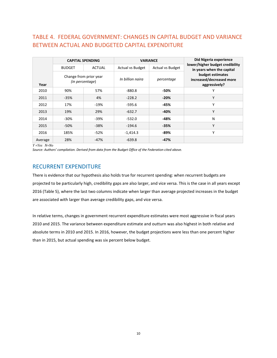#### TABLE 4. FEDERAL GOVERNMENT: CHANGES IN CAPITAL BUDGET AND VARIANCE BETWEEN ACTUAL AND BUDGETED CAPITAL EXPENDITURE

|         |               | <b>CAPITAL SPENDING</b>                   | <b>VARIANCE</b>                |                         | <b>Did Nigeria experience</b>                                 |
|---------|---------------|-------------------------------------------|--------------------------------|-------------------------|---------------------------------------------------------------|
|         | <b>BUDGET</b> | <b>ACTUAL</b>                             | <b>Actual vs Budget</b>        | <b>Actual vs Budget</b> | lower/higher budget credibility<br>in years when the capital  |
| Year    |               | Change from prior year<br>(in percentage) | In billion naira<br>percentage |                         | budget estimates<br>increased/decreased more<br>aggressively? |
| 2010    | 90%           | 57%                                       | $-880.8$                       | -50%                    | Υ                                                             |
| 2011    | $-35%$        | 4%                                        | $-228.2$                       | $-20%$                  | Υ                                                             |
| 2012    | 17%           | $-19%$                                    | $-595.6$                       | -45%                    | Υ                                                             |
| 2013    | 19%           | 29%                                       | $-632.7$                       | $-40%$                  | Y                                                             |
| 2014    | $-30%$        | $-39%$                                    | $-532.0$                       | -48%                    | N                                                             |
| 2015    | $-50%$        | $-38%$                                    | $-194.6$                       | $-35%$                  | Y                                                             |
| 2016    | 185%          | $-52%$                                    | $-1,414.3$                     | -89%                    | Υ                                                             |
| Average | 28%           | $-47%$                                    | $-639.8$                       | $-47%$                  |                                                               |

*Y =Yes N=No*

*Source: Authors' compilation. Derived from data from the Budget Office of the Federation cited above.*

#### RECURRENT EXPENDITURE

There is evidence that our hypothesis also holds true for recurrent spending: when recurrent budgets are projected to be particularly high, credibility gaps are also larger, and vice versa. This is the case in all years except 2016 (Table 5), where the last two columns indicate when larger than average projected increases in the budget are associated with larger than average credibility gaps, and vice versa.

In relative terms, changes in government recurrent expenditure estimates were most aggressive in fiscal years 2010 and 2015. The variance between expenditure estimate and outturn was also highest in both relative and absolute terms in 2010 and 2015. In 2016, however, the budget projections were less than one percent higher than in 2015, but actual spending was six percent below budget.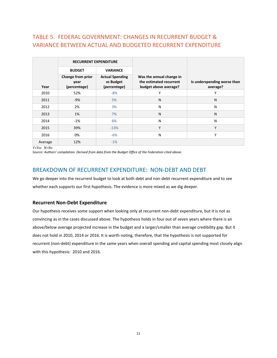#### TABLE 5. FEDERAL GOVERNMENT: CHANGES IN RECURRENT BUDGET & VARIANCE BETWEEN ACTUAL AND BUDGETED RECURRENT EXPENDITURE

|         | <b>RECURRENT EXPENDITURE</b>              |                                                     |                                                                              |                                         |
|---------|-------------------------------------------|-----------------------------------------------------|------------------------------------------------------------------------------|-----------------------------------------|
|         | <b>BUDGET</b>                             | <b>VARIANCE</b>                                     |                                                                              |                                         |
| Year    | Change from prior<br>year<br>(percentage) | <b>Actual Spending</b><br>vs Budget<br>(percentage) | Was the annual change in<br>the estimated recurrent<br>budget above average? | Is underspending worse than<br>average? |
| 2010    | 52%                                       | $-8%$                                               | v                                                                            | v                                       |
| 2011    | $-9%$                                     | 5%                                                  | N                                                                            | N                                       |
| 2012    | 2%                                        | 3%                                                  | N                                                                            | N                                       |
| 2013    | 1%                                        | 7%                                                  | N                                                                            | N                                       |
| 2014    | $-1%$                                     | 6%                                                  | N                                                                            | N                                       |
| 2015    | 39%                                       | $-13%$                                              | Υ                                                                            | Y                                       |
| 2016    | 0%                                        | $-6%$                                               | N                                                                            | Υ                                       |
| Average | 12%                                       | $-1%$                                               |                                                                              |                                         |

*Y=Yes N=No*

*Source: Authors' compilation. Derived from data from the Budget Office of the Federation cited above.*

#### BREAKDOWN OF RECURRENT EXPENDITURE: NON-DEBT AND DEBT

We go deeper into the recurrent budget to look at both debt and non-debt recurrent expenditure and to see whether each supports our first hypothesis. The evidence is more mixed as we dig deeper.

#### **Recurrent Non-Debt Expenditure**

Our hypothesis receives some support when looking only at recurrent non-debt expenditure, but it is not as convincing as in the cases discussed above. The hypothesis holds in four out of seven years where there is an above/below average projected increase in the budget and a larger/smaller than average credibility gap. But it does not hold in 2010, 2014 or 2016. It is worth noting, therefore, that the hypothesis is not supported for recurrent (non-debt) expenditure in the same years when overall spending and capital spending most closely align with this hypothesis: 2010 and 2016.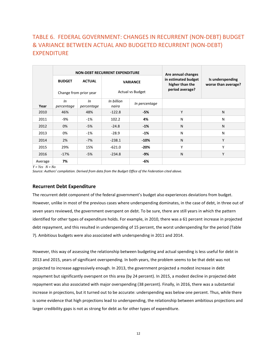#### TABLE 6. FEDERAL GOVERNMENT: CHANGES IN RECURRENT (NON-DEBT) BUDGET & VARIANCE BETWEEN ACTUAL AND BUDGETED RECURRENT (NON-DEBT) EXPENDITURE

|         |                                         |                  | <b>NON-DEBT RECURRENT EXPENDITURE</b>      | Are annual changes |                                                           |                                         |  |
|---------|-----------------------------------------|------------------|--------------------------------------------|--------------------|-----------------------------------------------------------|-----------------------------------------|--|
|         | <b>BUDGET</b><br>Change from prior year | <b>ACTUAL</b>    | <b>VARIANCE</b><br><b>Actual vs Budget</b> |                    | in estimated budget<br>higher than the<br>period average? | Is underspending<br>worse than average? |  |
| Year    | In<br>percentage                        | In<br>percentage | In billion<br>naira                        | In percentage      |                                                           |                                         |  |
| 2010    | 46%                                     | 48%              | $-122.8$                                   | -5%                | Υ                                                         | N                                       |  |
| 2011    | -9%                                     | -1%              | 102.2                                      | 4%                 | N                                                         | N                                       |  |
| 2012    | 0%                                      | $-5%$            | $-24.8$                                    | $-1%$              | N                                                         | N                                       |  |
| 2013    | 0%                                      | $-1%$            | $-28.9$                                    | $-1%$              | N                                                         | N                                       |  |
| 2014    | 2%                                      | $-7%$            | $-238.1$                                   | $-10%$             | $\mathsf{N}$                                              | Y                                       |  |
| 2015    | 29%                                     | 15%              | $-621.0$                                   | $-20%$             | Υ                                                         | Υ                                       |  |
| 2016    | $-17%$                                  | $-5%$            | $-234.8$                                   | $-9%$              | N                                                         | Y                                       |  |
| Average | 7%                                      |                  |                                            | -6%                |                                                           |                                         |  |

*Y = Yes N = No*

*Source: Authors' compilation. Derived from data from the Budget Office of the Federation cited above.*

#### **Recurrent Debt Expenditure**

The recurrent debt component of the federal government's budget also experiences deviations from budget. However, unlike in most of the previous cases where underspending dominates, in the case of debt, in three out of seven years reviewed, the government overspent on debt. To be sure, there are still years in which the pattern identified for other types of expenditure holds. For example, in 2010, there was a 61 percent increase in projected debt repayment, and this resulted in underspending of 15 percent, the worst underspending for the period (Table 7). Ambitious budgets were also associated with underspending in 2011 and 2014.

However, this way of assessing the relationship between budgeting and actual spending is less useful for debt in 2013 and 2015, years of significant overspending. In both years, the problem seems to be that debt was not projected to increase aggressively enough. In 2013, the government projected a modest increase in debt repayment but significantly overspent on this area (by 24 percent). In 2015, a modest decline in projected debt repayment was also associated with major overspending (38 percent). Finally, in 2016, there was a substantial increase in projections, but it turned out to be accurate: underspending was below one percent. Thus, while there is some evidence that high projections lead to underspending, the relationship between ambitious projections and larger credibility gaps is not as strong for debt as for other types of expenditure.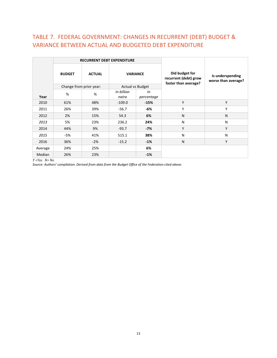#### TABLE 7. FEDERAL GOVERNMENT: CHANGES IN RECURRENT (DEBT) BUDGET & VARIANCE BETWEEN ACTUAL AND BUDGETED DEBT EXPENDITURE

|         |                                                   | <b>RECURRENT DEBT EXPENDITURE</b> |                                                                 |                                         |   |   |
|---------|---------------------------------------------------|-----------------------------------|-----------------------------------------------------------------|-----------------------------------------|---|---|
|         | <b>VARIANCE</b><br><b>BUDGET</b><br><b>ACTUAL</b> |                                   | Did budget for<br>recurrent (debt) grow<br>faster than average? | Is underspending<br>worse than average? |   |   |
|         | Change from prior year:                           |                                   | <b>Actual vs Budget</b>                                         |                                         |   |   |
| Year    | %                                                 | %                                 | In billion<br>naira                                             | In<br>percentage                        |   |   |
| 2010    | 61%                                               | 48%                               | $-109.0$                                                        | $-15%$                                  | Υ | Y |
| 2011    | 26%                                               | 39%                               | $-56.7$                                                         | -6%                                     | Υ | Υ |
| 2012    | 2%                                                | 15%                               | 54.3                                                            | 6%                                      | N | N |
| 2013    | 5%                                                | 23%                               | 236.2                                                           | 24%                                     | N | N |
| 2014    | 44%                                               | 9%                                | $-93.7$                                                         | $-7%$                                   | Υ | Υ |
| 2015    | -5%                                               | 41%                               | 515.1                                                           | 38%                                     | N | N |
| 2016    | 36%                                               | $-2%$                             | $-15.2$                                                         | $-1%$                                   | N | Y |
| Average | 24%                                               | 25%                               |                                                                 | 6%                                      |   |   |
| Median  | 26%                                               | 23%                               |                                                                 | $-1%$                                   |   |   |

*Y =Yes N= No*

*Source: Authors' compilation. Derived from data from the Budget Office of the Federation cited above.*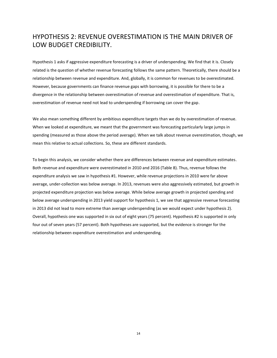#### HYPOTHESIS 2: REVENUE OVERESTIMATION IS THE MAIN DRIVER OF LOW BUDGET CREDIBILITY.

Hypothesis 1 asks if aggressive expenditure forecasting is a driver of underspending. We find that it is. Closely related is the question of whether revenue forecasting follows the same pattern. Theoretically, there should be a relationship between revenue and expenditure. And, globally, it is common for revenues to be overestimated. However, because governments can finance revenue gaps with borrowing, it is possible for there to be a divergence in the relationship between overestimation of revenue and overestimation of expenditure. That is, overestimation of revenue need not lead to underspending if borrowing can cover the gap.

We also mean something different by ambitious expenditure targets than we do by overestimation of revenue. When we looked at expenditure, we meant that the government was forecasting particularly large jumps in spending (measured as those above the period average). When we talk about revenue overestimation, though, we mean this relative to actual collections. So, these are different standards.

To begin this analysis, we consider whether there are differences between revenue and expenditure estimates. Both revenue and expenditure were overestimated in 2010 and 2016 (Table 8). Thus, revenue follows the expenditure analysis we saw in hypothesis #1. However, while revenue projections in 2010 were far above average, under-collection was below average. In 2013, revenues were also aggressively estimated, but growth in projected expenditure projection was below average. While below average growth in projected spending and below average underspending in 2013 yield support for hypothesis 1, we see that aggressive revenue forecasting in 2013 did not lead to more extreme than average underspending (as we would expect under hypothesis 2). Overall, hypothesis one was supported in six out of eight years (75 percent). Hypothesis #2 is supported in only four out of seven years (57 percent). Both hypotheses are supported, but the evidence is stronger for the relationship between expenditure overestimation and underspending.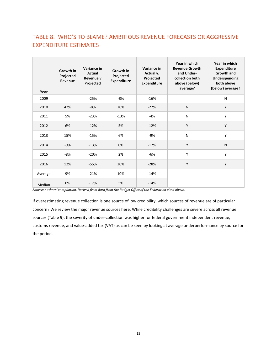### TABLE 8. WHO'S TO BLAME? AMBITIOUS REVENUE FORECASTS OR AGGRESSIVE EXPENDITURE ESTIMATES

| Year    | Growth in<br>Projected<br>Revenue | Variance in<br>Actual<br>Revenue v<br>Projected | Growth in<br>Projected<br><b>Expenditure</b> | Variance in<br>Actual v.<br>Projected<br><b>Expenditure</b> | Year in which<br><b>Revenue Growth</b><br>and Under-<br>collection both<br>above (below)<br>average? | Year in which<br><b>Expenditure</b><br><b>Growth and</b><br><b>Underspending</b><br>both above<br>(below) average? |
|---------|-----------------------------------|-------------------------------------------------|----------------------------------------------|-------------------------------------------------------------|------------------------------------------------------------------------------------------------------|--------------------------------------------------------------------------------------------------------------------|
| 2009    |                                   | $-25%$                                          | $-3%$                                        | $-16%$                                                      |                                                                                                      | N                                                                                                                  |
| 2010    | 42%                               | -8%                                             | 70%                                          | $-22%$                                                      | N                                                                                                    | Y                                                                                                                  |
| 2011    | 5%                                | $-23%$                                          | $-13%$                                       | $-4%$                                                       | N                                                                                                    | Υ                                                                                                                  |
| 2012    | 6%                                | $-12%$                                          | 5%                                           | $-12%$                                                      | Y                                                                                                    | Y                                                                                                                  |
| 2013    | 15%                               | $-15%$                                          | 6%                                           | $-9%$                                                       | N                                                                                                    | Υ                                                                                                                  |
| 2014    | $-9%$                             | $-13%$                                          | 0%                                           | $-17%$                                                      | Y                                                                                                    | N                                                                                                                  |
| 2015    | $-8%$                             | $-20%$                                          | 2%                                           | $-6%$                                                       | Y                                                                                                    | Υ                                                                                                                  |
| 2016    | 12%                               | $-55%$                                          | 20%                                          | $-28%$                                                      | Y                                                                                                    | Y                                                                                                                  |
| Average | 9%                                | $-21%$                                          | 10%                                          | $-14%$                                                      |                                                                                                      |                                                                                                                    |
| Median  | 6%                                | $-17%$                                          | 5%                                           | $-14%$                                                      |                                                                                                      |                                                                                                                    |

*Source: Authors' compilation. Derived from data from the Budget Office of the Federation cited above.* 

If overestimating revenue collection is one source of low credibility, which sources of revenue are of particular concern? We review the major revenue sources here. While credibility challenges are severe across all revenue sources (Table 9), the severity of under-collection was higher for federal government independent revenue, customs revenue, and value-added tax (VAT) as can be seen by looking at average underperformance by source for the period.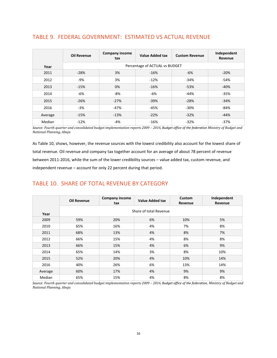|         | <b>Oil Revenue</b> | <b>Company income</b><br>tax | <b>Value Added tax</b>         | <b>Custom Revenue</b> | Independent<br>Revenue |
|---------|--------------------|------------------------------|--------------------------------|-----------------------|------------------------|
| Year    |                    |                              | Percentage of ACTUAL vs BUDGET |                       |                        |
| 2011    | $-28%$             | 3%                           | $-16%$                         | -6%                   | $-20%$                 |
| 2012    | $-9%$              | 3%                           | $-12%$                         | $-34%$                | $-54%$                 |
| 2013    | $-15%$             | 0%                           | $-16%$                         | $-53%$                | $-40%$                 |
| 2014    | -6%                | $-8%$                        | $-6%$                          | $-44%$                | $-35%$                 |
| 2015    | $-26%$             | $-27%$                       | $-39%$                         | $-28%$                | $-34%$                 |
| 2016    | $-3%$              | $-47%$                       | $-45%$                         | $-30%$                | $-84%$                 |
| Average | $-15%$             | $-13%$                       | $-22%$                         | $-32%$                | $-44%$                 |
| Median  | $-12%$             | $-4%$                        | $-16%$                         | $-32%$                | $-37%$                 |

#### TABLE 9. FEDERAL GOVERNMENT: ESTIMATED VS ACTUAL REVENUE

*Source: Fourth quarter and consolidated budget implementation reports 2009 – 2016, Budget office of the federation Ministry of Budget and National Planning, Abuja*

As Table 10, shows, however, the revenue sources with the lowest credibility also account for the lowest share of total revenue. Oil revenue and company tax together account for an average of about 78 percent of revenue between 2011-2016, while the sum of the lower credibility sources – value added tax, custom revenue, and independent revenue – account for only 22 percent during that period.

#### TABLE 10. SHARE OF TOTAL REVENUE BY CATEGORY

|         | <b>Oil Revenue</b> | <b>Company income</b><br>tax | <b>Value Added tax</b> | Custom<br>Revenue | Independent<br>Revenue |  |  |  |  |  |
|---------|--------------------|------------------------------|------------------------|-------------------|------------------------|--|--|--|--|--|
| Year    |                    | Share of total Revenue       |                        |                   |                        |  |  |  |  |  |
| 2009    | 59%                | 20%                          | 6%                     | 10%               | 5%                     |  |  |  |  |  |
| 2010    | 65%                | 16%                          | 4%                     | 7%                | 8%                     |  |  |  |  |  |
| 2011    | 68%                | 13%                          | 4%                     | 8%                | 7%                     |  |  |  |  |  |
| 2012    | 66%                | 15%                          | 4%                     | 8%                | 8%                     |  |  |  |  |  |
| 2013    | 66%                | 15%                          | 4%                     | 6%                | 9%                     |  |  |  |  |  |
| 2014    | 65%                | 14%                          | 3%                     | 8%                | 10%                    |  |  |  |  |  |
| 2015    | 52%                | 20%                          | 4%                     | 10%               | 14%                    |  |  |  |  |  |
| 2016    | 40%                | 26%                          | 6%                     | 13%               | 14%                    |  |  |  |  |  |
| Average | 60%                | 17%                          | 4%                     | 9%                | 9%                     |  |  |  |  |  |
| Median  | 65%                | 15%                          | 4%                     | 8%                | 8%                     |  |  |  |  |  |

*Source: Fourth quarter and consolidated budget implementation reports 2009 – 2016, Budget office of the federation, Ministry of Budget and National Planning, Abuja*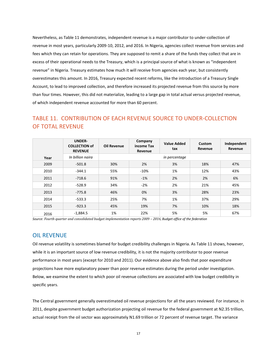Nevertheless, as Table 11 demonstrates, independent revenue is a major contributor to under-collection of revenue in most years, particularly 2009-10, 2012, and 2016. In Nigeria, agencies collect revenue from services and fees which they can retain for operations. They are supposed to remit a share of the funds they collect that are in excess of their operational needs to the Treasury, which is a principal source of what is known as "independent revenue" in Nigeria. Treasury estimates how much it will receive from agencies each year, but consistently overestimates this amount. In 2016, Treasury expected recent reforms, like the introduction of a Treasury Single Account, to lead to improved collection, and therefore increased its projected revenue from this source by more than four times. However, this did not materialize, leading to a large gap in total actual versus projected revenue, of which independent revenue accounted for more than 60 percent.

#### TABLE 11. CONTRIBUTION OF EACH REVENUE SOURCE TO UNDER-COLLECTION OF TOTAL REVENUE

|      | <b>UNDER-</b><br><b>COLLECTION of</b><br><b>REVENUE</b> | <b>Oil Revenue</b> | Company<br>income Tax<br>Revenue | <b>Value Added</b><br>tax | <b>Custom</b><br>Revenue | Independent<br>Revenue |
|------|---------------------------------------------------------|--------------------|----------------------------------|---------------------------|--------------------------|------------------------|
| Year | In billion naira                                        |                    |                                  | in percentage             |                          |                        |
| 2009 | $-501.8$                                                | 30%                | 2%                               | 3%                        | 18%                      | 47%                    |
| 2010 | $-344.1$                                                | 55%                | $-10%$                           | 1%                        | 12%                      | 43%                    |
| 2011 | $-718.6$                                                | 91%                | $-1%$                            | 2%                        | 2%                       | 6%                     |
| 2012 | $-528.9$                                                | 34%                | $-2%$                            | 2%                        | 21%                      | 45%                    |
| 2013 | $-775.8$                                                | 46%                | 0%                               | 3%                        | 28%                      | 23%                    |
| 2014 | $-533.3$                                                | 25%                | 7%                               | 1%                        | 37%                      | 29%                    |
| 2015 | $-923.3$                                                | 45%                | 19%                              | 7%                        | 10%                      | 18%                    |
| 2016 | $-1,884.5$                                              | 1%                 | 22%                              | 5%                        | 5%                       | 67%                    |

*Source: Fourth quarter and consolidated budget implementation reports 2009 – 2016, Budget office of the federation*

#### OIL REVENUE

Oil revenue volatility is sometimes blamed for budget credibility challenges in Nigeria. As Table 11 shows, however, while it is an important source of low revenue credibility, it is not the majority contributor to poor revenue performance in most years (except for 2010 and 2011). Our evidence above also finds that poor expenditure projections have more explanatory power than poor revenue estimates during the period under investigation. Below, we examine the extent to which poor oil revenue collections are associated with low budget credibility in specific years.

The Central government generally overestimated oil revenue projections for all the years reviewed. For instance, in 2011, despite government budget authorization projecting oil revenue for the federal government at N2.35 trillion, actual receipt from the oil sector was approximately N1.69 trillion or 72 percent of revenue target. The variance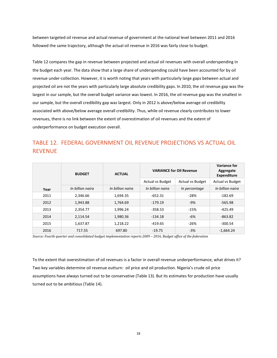between targeted oil revenue and actual revenue of government at the national level between 2011 and 2016 followed the same trajectory, although the actual oil revenue in 2016 was fairly close to budget.

Table 12 compares the gap in revenue between projected and actual oil revenues with overall underspending in the budget each year. The data show that a large share of underspending could have been accounted for by oil revenue under-collection. However, it is worth noting that years with particularly large gaps between actual and projected oil are not the years with particularly large absolute credibility gaps. In 2010, the oil revenue gap was the largest in our sample, but the overall budget variance was lowest. In 2016, the oil revenue gap was the smallest in our sample, but the overall credibility gap was largest. Only in 2012 is above/below average oil credibility associated with above/below average overall credibility. Thus, while oil revenue clearly contributes to lower revenues, there is no link between the extent of overestimation of oil revenues and the extent of underperformance on budget execution overall.

#### TABLE 12. FEDERAL GOVERNMENT OIL REVENUE PROJECTIONS VS ACTUAL OIL REVENUE

|      | <b>BUDGET</b>    | <b>ACTUAL</b>    | <b>VARIANCE for Oil Revenue</b> |                         | <b>Variance for</b><br>Aggregate<br><b>Expenditure</b> |
|------|------------------|------------------|---------------------------------|-------------------------|--------------------------------------------------------|
|      |                  |                  | <b>Actual vs Budget</b>         | <b>Actual vs Budget</b> | <b>Actual vs Budget</b>                                |
| Year | In billion naira | In billion naira | In billion naira                | In percentage           | In billion naira                                       |
| 2011 | 2,346.66         | 1,694.35         | $-652.31$                       | $-28%$                  | $-182.69$                                              |
| 2012 | 1,943.88         | 1,764.69         | $-179.19$                       | $-9%$                   | $-565.98$                                              |
| 2013 | 2.354.77         | 1,996.24         | $-358.53$                       | $-15%$                  | $-425.49$                                              |
| 2014 | 2.114.54         | 1,980.36         | -134.18                         | $-6%$                   | $-863.82$                                              |
| 2015 | 1,637.87         | 1,218.22         | $-419.65$                       | $-26%$                  | $-300.54$                                              |
| 2016 | 717.55           | 697.80           | $-19.75$                        | $-3%$                   | $-1,664.24$                                            |

*Source: Fourth quarter and consolidated budget implementation reports 2009 – 2016, Budget office of the federation*

To the extent that overestimation of oil revenues is a factor in overall revenue underperformance, what drives it? Two key variables determine oil revenue outturn: oil price and oil production. Nigeria's crude oil price assumptions have always turned out to be conservative (Table 13). But its estimates for production have usually turned out to be ambitious (Table 14).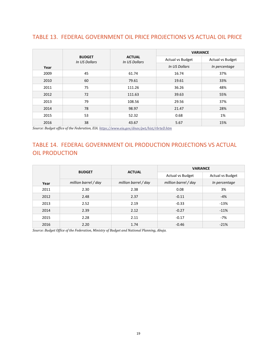#### TABLE 13. FEDERAL GOVERNMENT OIL PRICE PROJECTIONS VS ACTUAL OIL PRICE

|      |                                |                                | <b>VARIANCE</b>         |                         |  |
|------|--------------------------------|--------------------------------|-------------------------|-------------------------|--|
|      | <b>BUDGET</b><br>In US Dollars | <b>ACTUAL</b><br>In US Dollars | <b>Actual vs Budget</b> | <b>Actual vs Budget</b> |  |
| Year |                                |                                | In US Dollars           | In percentage           |  |
| 2009 | 45                             | 61.74                          | 16.74                   | 37%                     |  |
| 2010 | 60                             | 79.61                          | 19.61                   | 33%                     |  |
| 2011 | 75                             | 111.26                         | 36.26                   | 48%                     |  |
| 2012 | 72                             | 111.63                         | 39.63                   | 55%                     |  |
| 2013 | 79                             | 108.56                         | 29.56                   | 37%                     |  |
| 2014 | 78                             | 98.97                          | 21.47                   | 28%                     |  |
| 2015 | 53                             | 52.32                          | 0.68                    | 1%                      |  |
| 2016 | 38                             | 43.67                          | 5.67                    | 15%                     |  |

*Source: Budget office of the Federation, EIA[. https://www.eia.gov/dnav/pet/hist/rbrteD.htm](https://www.eia.gov/dnav/pet/hist/rbrteD.htm)*

#### TABLE 14. FEDERAL GOVERNMENT OIL PRODUCTION PROJECTIONS VS ACTUAL OIL PRODUCTION

|      | <b>BUDGET</b>        |                      | <b>VARIANCE</b>         |                  |  |
|------|----------------------|----------------------|-------------------------|------------------|--|
|      |                      | <b>ACTUAL</b>        | <b>Actual vs Budget</b> | Actual vs Budget |  |
| Year | million barrel / day | million barrel / day | million barrel / day    | In percentage    |  |
| 2011 | 2.30                 | 2.38                 | 0.08                    | 3%               |  |
| 2012 | 2.48                 | 2.37                 | $-0.11$                 | $-4%$            |  |
| 2013 | 2.52                 | 2.19                 | $-0.33$                 | $-13%$           |  |
| 2014 | 2.39                 | 2.12                 | $-0.27$                 | $-11%$           |  |
| 2015 | 2.28                 | 2.11                 | $-0.17$                 | $-7%$            |  |
| 2016 | 2.20                 | 1.74                 | $-0.46$                 | $-21%$           |  |

*Source: Budget Office of the Federation, Ministry of Budget and National Planning, Abuja.*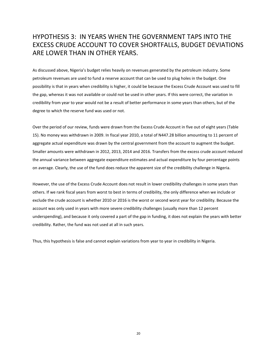#### HYPOTHESIS 3: IN YEARS WHEN THE GOVERNMENT TAPS INTO THE EXCESS CRUDE ACCOUNT TO COVER SHORTFALLS, BUDGET DEVIATIONS ARE LOWER THAN IN OTHER YEARS.

As discussed above, Nigeria's budget relies heavily on revenues generated by the petroleum industry. Some petroleum revenues are used to fund a reserve account that can be used to plug holes in the budget. One possibility is that in years when credibility is higher, it could be because the Excess Crude Account was used to fill the gap, whereas it was not available or could not be used in other years. If this were correct, the variation in credibility from year to year would not be a result of better performance in some years than others, but of the degree to which the reserve fund was used or not.

Over the period of our review, funds were drawn from the Excess Crude Account in five out of eight years (Table 15). No money was withdrawn in 2009. In fiscal year 2010, a total of N447.28 billion amounting to 11 percent of aggregate actual expenditure was drawn by the central government from the account to augment the budget. Smaller amounts were withdrawn in 2012, 2013, 2014 and 2016. Transfers from the excess crude account reduced the annual variance between aggregate expenditure estimates and actual expenditure by four percentage points on average. Clearly, the use of the fund does reduce the apparent size of the credibility challenge in Nigeria.

However, the use of the Excess Crude Account does not result in lower credibility challenges in some years than others. If we rank fiscal years from worst to best in terms of credibility, the only difference when we include or exclude the crude account is whether 2010 or 2016 is the worst or second worst year for credibility. Because the account was only used in years with more severe credibility challenges (usually more than 12 percent underspending), and because it only covered a part of the gap in funding, it does not explain the years with better credibility. Rather, the fund was not used at all in such years.

Thus, this hypothesis is false and cannot explain variations from year to year in credibility in Nigeria.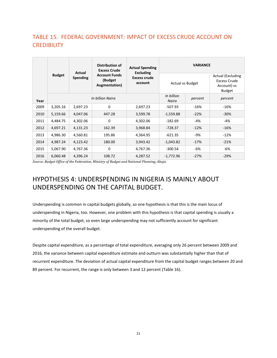#### TABLE 15. FEDERAL GOVERNMENT: IMPACT OF EXCESS CRUDE ACCOUNT ON **CREDIBILITY**

|               | Actual   |          | Distribution of<br><b>Excess Crude</b>           | <b>Actual Spending</b><br><b>Excluding</b> | <b>VARIANCE</b>         |         |                                                                          |  |
|---------------|----------|----------|--------------------------------------------------|--------------------------------------------|-------------------------|---------|--------------------------------------------------------------------------|--|
| <b>Budget</b> |          | Spending | <b>Account Funds</b><br>(Budget<br>Augmentation) | <b>Excess crude</b><br>account             | <b>Actual vs Budget</b> |         | <b>Actual (Excluding</b><br>Excess Crude<br>Account) vs<br><b>Budget</b> |  |
| Year          |          |          | In billion Naira                                 | In billion<br>Naira                        | percent                 | percent |                                                                          |  |
| 2009          | 3,205.16 | 2,697.23 | $\Omega$                                         | 2,697.23                                   | -507.93                 | $-16%$  | $-16%$                                                                   |  |
| 2010          | 5,159.66 | 4,047.06 | 447.28                                           | 3,599.78                                   | $-1,559.88$             | $-22%$  | $-30%$                                                                   |  |
| 2011          | 4,484.75 | 4,302.06 | 0                                                | 4,302.06                                   | $-182.69$               | -4%     | -4%                                                                      |  |
| 2012          | 4,697.21 | 4,131.23 | 162.39                                           | 3,968.84                                   | $-728.37$               | $-12%$  | $-16%$                                                                   |  |
| 2013          | 4,986.30 | 4,560.81 | 195.86                                           | 4,364.95                                   | $-621.35$               | -9%     | $-12%$                                                                   |  |
| 2014          | 4,987.24 | 4,123.42 | 180.00                                           | 3,943.42                                   | $-1,043.82$             | $-17%$  | $-21%$                                                                   |  |
| 2015          | 5,067.90 | 4,767.36 | 0                                                | 4,767.36                                   | $-300.54$               | -6%     | -6%                                                                      |  |
| 2016          | 6,060.48 | 4,396.24 | 108.72                                           | 4,287.52                                   | $-1,772.96$             | $-27%$  | $-29%$                                                                   |  |

*Source: Budget Office of the Federation, Ministry of Budget and National Planning, Abuja.*

## HYPOTHESIS 4: UNDERSPENDING IN NIGERIA IS MAINLY ABOUT UNDERSPENDING ON THE CAPITAL BUDGET.

Underspending is common in capital budgets globally, so one hypothesis is that this is the main locus of underspending in Nigeria, too. However, one problem with this hypothesis is that capital spending is usually a minority of the total budget, so even large underspending may not sufficiently account for significant underspending of the overall budget.

Despite capital expenditure, as a percentage of total expenditure, averaging only 26 percent between 2009 and 2016, the variance between capital expenditure estimate and outturn was substantially higher than that of recurrent expenditure. The deviation of actual capital expenditure from the capital budget ranges between 20 and 89 percent. For recurrent, the range is only between 3 and 12 percent (Table 16).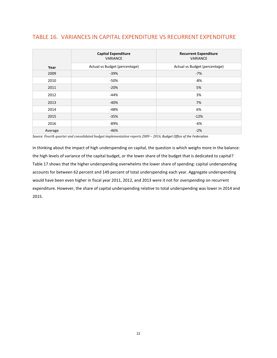#### TABLE 16. VARIANCES IN CAPITAL EXPENDITURE VS RECURRENT EXPENDITURE

|         | <b>Capital Expenditure</b><br><b>VARIANCE</b> | <b>Recurrent Expenditure</b><br><b>VARIANCE</b> |
|---------|-----------------------------------------------|-------------------------------------------------|
| Year    | Actual vs Budget (percentage)                 | Actual vs Budget (percentage)                   |
| 2009    | $-39%$                                        | $-7%$                                           |
| 2010    | -50%                                          | $-8%$                                           |
| 2011    | $-20%$                                        | 5%                                              |
| 2012    | $-44%$                                        | 3%                                              |
| 2013    | $-40%$                                        | 7%                                              |
| 2014    | -48%                                          | 6%                                              |
| 2015    | $-35%$                                        | $-12%$                                          |
| 2016    | -89%                                          | -6%                                             |
| Average | $-46%$                                        | $-2%$                                           |

*Source: Fourth quarter and consolidated budget implementation reports 2009 – 2016, Budget Office of the Federation*

In thinking about the impact of high underspending on capital, the question is which weighs more in the balance: the high levels of variance of the capital budget, or the lower share of the budget that is dedicated to capital? Table 17 shows that the higher underspending overwhelms the lower share of spending: capital underspending accounts for between 62 percent and 149 percent of total underspending each year. Aggregate underspending would have been even higher in fiscal year 2011, 2012, and 2013 were it not for *overspending* on recurrent expenditure. However, the share of capital underspending relative to total underspending was lower in 2014 and 2015.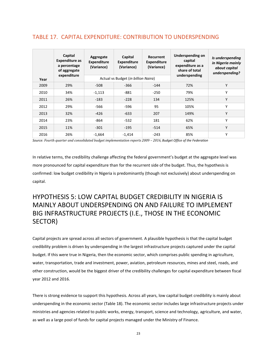#### TABLE 17. CAPITAL EXPENDITURE: CONTRIBUTION TO UNDERSPENDING

|      | Capital<br>Capital<br>Aggregate<br><b>Expenditure as</b><br><b>Expenditure</b><br><b>Expenditure</b><br>a percentage<br>(Variance)<br>(Variance)<br>of aggregate<br>expenditure<br>Actual vs Budget (in billion Naira) |          | Recurrent<br>Expenditure<br>(Variance) | Underspending on<br>capital<br>expenditure as a<br>share of total<br>underspending | Is underspending<br>in Nigeria mainly<br>about capital<br>underspending? |   |  |
|------|------------------------------------------------------------------------------------------------------------------------------------------------------------------------------------------------------------------------|----------|----------------------------------------|------------------------------------------------------------------------------------|--------------------------------------------------------------------------|---|--|
| Year |                                                                                                                                                                                                                        |          |                                        |                                                                                    |                                                                          |   |  |
| 2009 | 29%                                                                                                                                                                                                                    | $-508$   | $-366$                                 | $-144$                                                                             | 72%                                                                      | Υ |  |
| 2010 | 34%                                                                                                                                                                                                                    | $-1,113$ | $-881$                                 | $-250$                                                                             | 79%                                                                      | Υ |  |
| 2011 | 26%                                                                                                                                                                                                                    | $-183$   | $-228$                                 | 134                                                                                | 125%                                                                     | Υ |  |
| 2012 | 29%                                                                                                                                                                                                                    | -566     | $-596$                                 | 95                                                                                 | 105%                                                                     | Υ |  |
| 2013 | 32%                                                                                                                                                                                                                    | $-426$   | $-633$                                 | 207                                                                                | 149%                                                                     | Υ |  |
| 2014 | 23%                                                                                                                                                                                                                    | -864     | $-532$                                 | 181                                                                                | 62%                                                                      | Υ |  |
| 2015 | 11%                                                                                                                                                                                                                    | $-301$   | $-195$                                 | $-514$                                                                             | 65%                                                                      | Υ |  |
| 2016 | 26%                                                                                                                                                                                                                    | $-1,664$ | $-1,414$                               | $-243$                                                                             | 85%                                                                      | Υ |  |

*Source: Fourth quarter and consolidated budget implementation reports 2009 – 2016, Budget Office of the Federation*

In relative terms, the credibility challenge affecting the federal government's budget at the aggregate level was more pronounced for capital expenditure than for the recurrent side of the budget. Thus, the hypothesis is confirmed: low budget credibility in Nigeria is predominantly (though not exclusively) about underspending on capital.

## HYPOTHESIS 5: LOW CAPITAL BUDGET CREDIBILITY IN NIGERIA IS MAINLY ABOUT UNDERSPENDING ON AND FAILURE TO IMPLEMENT BIG INFRASTRUCTURE PROJECTS (I.E., THOSE IN THE ECONOMIC SECTOR)

Capital projects are spread across all sectors of government. A plausible hypothesis is that the capital budget credibility problem is driven by underspending in the largest infrastructure projects captured under the capital budget. If this were true in Nigeria, then the economic sector, which comprises public spending in agriculture, water, transportation, trade and investment, power, aviation, petroleum resources, mines and steel, roads, and other construction, would be the biggest driver of the credibility challenges for capital expenditure between fiscal year 2012 and 2016.

There is strong evidence to support this hypothesis. Across all years, low capital budget credibility is mainly about underspending in the economic sector (Table 18). The economic sector includes large infrastructure projects under ministries and agencies related to public works, energy, transport, science and technology, agriculture, and water, as well as a large pool of funds for capital projects managed under the Ministry of Finance.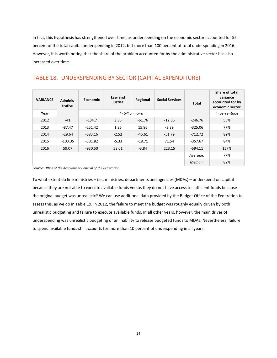In fact, this hypothesis has strengthened over time, as underspending on the economic sector accounted for 55 percent of the total capital underspending in 2012, but more than 100 percent of total underspending in 2016. However, it is worth noting that the share of the problem accounted for by the administrative sector has also increased over time.

| <b>VARIANCE</b> | Adminis-<br>trative | Economic  | Law and<br><b>Justice</b> | Regional         | <b>Social Services</b> | <b>Total</b> | Share of total<br>variance<br>accounted for by<br>economic sector |
|-----------------|---------------------|-----------|---------------------------|------------------|------------------------|--------------|-------------------------------------------------------------------|
| Year            |                     |           |                           | In billion naira |                        |              | In percentage                                                     |
| 2012            | $-41$               | $-134.7$  | 3.36                      | $-61.76$         | $-12.66$               | $-246.76$    | 55%                                                               |
| 2013            | $-87.47$            | $-251.42$ | 1.86                      | 15.86            | $-3.89$                | $-325.06$    | 77%                                                               |
| 2014            | $-29.64$            | $-583.16$ | $-2.52$                   | $-45.61$         | $-51.79$               | $-712.72$    | 82%                                                               |
| 2015            | $-103.35$           | $-301.82$ | $-5.33$                   | $-18.71$         | 71.54                  | $-357.67$    | 84%                                                               |
| 2016            | 59.07               | $-930.50$ | 58.01                     | $-3.84$          | 223.15                 | $-594.11$    | 157%                                                              |
|                 |                     |           |                           |                  |                        | Average:     | 77%                                                               |
|                 |                     |           |                           |                  |                        | Median:      | 82%                                                               |

#### TABLE 18. UNDERSPENDING BY SECTOR (CAPITAL EXPENDITURE)

*Source: Office of the Accountant General of the Federation*

To what extent do line ministries – i.e., ministries, departments and agencies (MDAs) – underspend on capital because they are not able to execute available funds versus they do not have access to sufficient funds because the original budget was unrealistic? We can use additional data provided by the Budget Office of the Federation to assess this, as we do in Table 19. In 2012, the failure to meet the budget was roughly equally driven by both unrealistic budgeting and failure to execute available funds. In all other years, however, the main driver of underspending was unrealistic budgeting or an inability to release budgeted funds to MDAs. Nevertheless, failure to spend available funds still accounts for more than 10 percent of underspending in all years.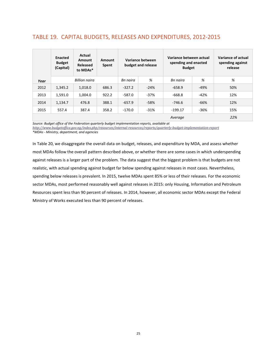#### TABLE 19. CAPITAL BUDGETS, RELEASES AND EXPENDITURES, 2012-2015

|      | Enacted<br><b>Budget</b><br>(Capital) | Actual<br>Amount<br><b>Released</b><br>to MDAs* | Amount<br>Spent | Variance between<br>budget and release |        | Variance between actual<br>spending and enacted<br><b>Budget</b> |        | Variance of actual<br>spending against<br>release |
|------|---------------------------------------|-------------------------------------------------|-----------------|----------------------------------------|--------|------------------------------------------------------------------|--------|---------------------------------------------------|
| Year | <b>Billion</b> naira                  |                                                 |                 | Bn naira                               | %      | Bn naira                                                         | %      | %                                                 |
| 2012 | 1,345.2                               | 1,018.0                                         | 686.3           | $-327.2$                               | $-24%$ | $-658.9$                                                         | -49%   | 50%                                               |
| 2013 | 1,591.0                               | 1,004.0                                         | 922.2           | $-587.0$                               | $-37%$ | $-668.8$                                                         | $-42%$ | 12%                                               |
| 2014 | 1,134.7                               | 388.1<br>476.8                                  |                 | $-657.9$                               | $-58%$ | -746.6                                                           | $-66%$ | 12%                                               |
| 2015 | 557.4                                 | 387.4                                           | 358.2           | $-170.0$                               | $-31%$ | $-199.17$                                                        | -36%   | 15%                                               |
|      |                                       |                                                 |                 |                                        |        | Average                                                          |        | 22%                                               |

*Source: Budget office of the Federation quarterly budget implementation reports, available at* 

*<http://www.budgetoffice.gov.ng/index.php/resources/internal-resources/reports/quarterly-budget-implementation-report>*

*\*MDAs - Ministry, department, and agencies* 

In Table 20, we disaggregate the overall data on budget, releases, and expenditure by MDA, and assess whether most MDAs follow the overall pattern described above, or whether there are some cases in which underspending against releases is a larger part of the problem. The data suggest that the biggest problem is that budgets are not realistic, with actual spending against budget far below spending against releases in most cases. Nevertheless, spending below releases is prevalent. In 2015, twelve MDAs spent 85% or less of their releases. For the economic sector MDAs, most performed reasonably well against releases in 2015: only Housing, Information and Petroleum Resources spent less than 90 percent of releases. In 2014, however, all economic sector MDAs except the Federal Ministry of Works executed less than 90 percent of releases.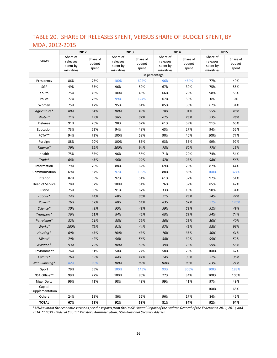## TABLE 20. SHARE OF RELEASES SPENT, VERSUS SHARE OF BUDGET SPENT, BY MDA, 2012-2015

|                            |                                                | 2012                        |                                                | 2013                        | 2014                                           |                             | 2015                                           |                             |
|----------------------------|------------------------------------------------|-----------------------------|------------------------------------------------|-----------------------------|------------------------------------------------|-----------------------------|------------------------------------------------|-----------------------------|
| <b>MDAs</b>                | Share of<br>releases<br>spent by<br>ministries | Share of<br>budget<br>spent | Share of<br>releases<br>spent by<br>ministries | Share of<br>budget<br>spent | Share of<br>releases<br>spent by<br>ministries | Share of<br>budget<br>spent | Share of<br>releases<br>spent by<br>ministries | Share of<br>budget<br>spent |
|                            |                                                |                             |                                                |                             | in percentage                                  |                             |                                                |                             |
| Presidency                 | 86%                                            | 75%                         | 100%                                           | 624%                        | 96%                                            | 464%                        | 77%                                            | 49%                         |
| SGF                        | 49%                                            | 33%                         | 96%                                            | 52%                         | 67%                                            | 30%                         | 75%                                            | 55%                         |
| Youth                      | 75%                                            | 46%                         | 100%                                           | 48%                         | 66%                                            | 29%                         | 98%                                            | 53%                         |
| Police                     | 77%                                            | 76%                         | 99%                                            | 124%                        | 67%                                            | 30%                         | 0%                                             | 0%                          |
| Women                      | 75%                                            | 47%                         | 95%                                            | 61%                         | 85%                                            | 38%                         | 67%                                            | 34%                         |
| Agriculture*               | 80%                                            | 54%                         | 100%                                           | 49%                         | 78%                                            | 34%                         | 95%                                            | 48%                         |
| Water*                     | 71%                                            | 49%                         | 96%                                            | 37%                         | 67%                                            | 28%                         | 93%                                            | 48%                         |
| Defense                    | 91%                                            | 76%                         | 98%                                            | 67%                         | 61%                                            | 59%                         | 91%                                            | 65%                         |
| Education                  | 73%                                            | 52%                         | 94%                                            | 48%                         | 63%                                            | 27%                         | 94%                                            | 55%                         |
| FCTA**                     | 94%                                            | 72%                         | 100%                                           | 58%                         | 90%                                            | 40%                         | 100%                                           | 77%                         |
| Foreign                    | 88%                                            | 70%                         | 100%                                           | 86%                         | 93%                                            | 36%                         | 99%                                            | 97%                         |
| Finance*                   | 79%                                            | 52%                         | 100%                                           | 94%                         | 78%                                            | 60%                         | 77%                                            | 15%                         |
| Health                     | 75%                                            | 55%                         | 96%                                            | 56%                         | 71%                                            | 29%                         | 74%                                            | 54%                         |
| Trade*                     | 68%                                            | 45%                         | 96%                                            | 29%                         | 57%                                            | 23%                         | 98%                                            | 56%                         |
| Information                | 79%                                            | 70%                         | 88%                                            | 62%                         | 69%                                            | 29%                         | 87%                                            | 44%                         |
| Communication              | 69%                                            | 57%                         | 97%                                            | 109%                        | 88%                                            | 85%                         | 100%                                           | 324%                        |
| Interior                   | 82%                                            | 55%                         | 92%                                            | 51%                         | 61%                                            | 32%                         | 97%                                            | 51%                         |
| <b>Head of Service</b>     | 78%                                            | 57%                         | 100%                                           | 54%                         | 76%                                            | 32%                         | 85%                                            | 42%                         |
| Justice                    | 75%                                            | 50%                         | 91%                                            | 67%                         | 33%                                            | 18%                         | 90%                                            | 34%                         |
| Labour*                    | 74%                                            | 44%                         | 68%                                            | 30%                         | 71%                                            | 28%                         | 94%                                            | 47%                         |
| Power*                     | 76%                                            | 52%                         | 80%                                            | 54%                         | 83%                                            | 62%                         | 91%                                            | 140%                        |
| Science*                   | 70%                                            | 48%                         | 95%                                            | 48%                         | 59%                                            | 28%                         | 91%                                            | 49%                         |
| Transport*                 | 76%                                            | 51%                         | 84%                                            | 45%                         | 68%                                            | 29%                         | 94%                                            | 74%                         |
| Petroleum*                 | 32%                                            | 21%                         | 58%                                            | 29%                         | 50%                                            | 23%                         | 80%                                            | 40%                         |
| Works*                     | 100%                                           | 79%                         | 91%                                            | 44%                         | 97%                                            | 45%                         | 98%                                            | 96%                         |
| Housing*                   | 69%                                            | 45%                         | 100%                                           | 43%                         | 76%                                            | 35%                         | 50%                                            | 61%                         |
| $Mines*$                   | 79%                                            | 47%                         | 90%                                            | 56%                         | 58%                                            | 32%                         | 99%                                            | 52%                         |
| Aviation*                  | 93%                                            | 72%                         | 100%                                           | 59%                         | 39%                                            | 16%                         | 99%                                            | 65%                         |
| Environment                | 76%                                            | 51%                         | 50%                                            | 24%                         | 58%                                            | 29%                         | 100%                                           | 67%                         |
| Culture*                   | 76%                                            | 59%                         | 84%                                            | 41%                         | 74%                                            | 33%                         | 72%                                            | 36%                         |
| Nat. Planning*             | 82%                                            | 90%                         | 100%                                           | 89%                         | 100%                                           | 90%                         | 83%                                            | 71%                         |
| Sport                      | 79%                                            | 55%                         | 100%                                           | 145%                        | 93%                                            | 306%                        | 100%                                           | 183%                        |
| NSA Office**               | 99%                                            | 77%                         | 100%                                           | 80%                         | 77%                                            | 34%                         | 100%                                           | 100%                        |
| Niger Delta                | 96%                                            | 71%                         | 98%                                            | 49%                         | 99%                                            | 41%                         | 97%                                            | 49%                         |
| Capital<br>Supplementation |                                                | $\overline{\phantom{a}}$    | $\overline{\phantom{a}}$                       | $\overline{\phantom{a}}$    | $\overline{\phantom{a}}$                       | $\overline{\phantom{a}}$    | 100%                                           | 65%                         |
| Others                     | 24%                                            | 19%                         | 86%                                            | 52%                         | 96%                                            | 17%                         | 84%                                            | 45%                         |
| <b>TOTAL</b>               | 67%                                            | 51%                         | 92%                                            | 58%                         | 81%                                            | 34%                         | 92%                                            | 64%                         |

*\* MDAs within the economic sector as per the reports from the OAGF Annual Report of the Auditor General of the Federation 2012, 2013, and 2014. \*\* FCTA=Federal Capital Territory Administration; NSA=National Security Adviser.*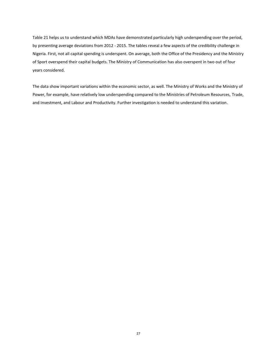Table 21 helps us to understand which MDAs have demonstrated particularly high underspending over the period, by presenting average deviations from 2012 - 2015. The tables reveal a few aspects of the credibility challenge in Nigeria. First, not all capital spending is underspent. On average, both the Office of the Presidency and the Ministry of Sport overspend their capital budgets. The Ministry of Communication has also overspent in two out of four years considered.

The data show important variations within the economic sector, as well. The Ministry of Works and the Ministry of Power, for example, have relatively low underspending compared to the Ministries of Petroleum Resources, Trade, and Investment, and Labour and Productivity. Further investigation is needed to understand this variation.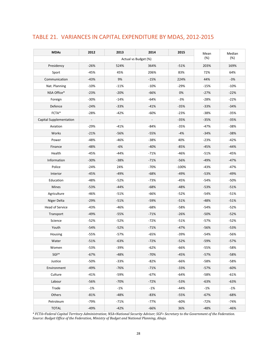#### TABLE 21. VARIANCES IN CAPITAL EXPENDITURE BY MDAS, 2012-2015

| <b>MDAs</b>             | 2012                     | 2013           | 2014                     | 2015    | Mean   | Median |
|-------------------------|--------------------------|----------------|--------------------------|---------|--------|--------|
|                         |                          |                | Actual vs Budget (%)     |         | (%)    | (%)    |
| Presidency              | $-26%$                   | 524%           | 364%                     | $-51%$  | 203%   | 169%   |
| Sport                   | $-45%$                   | 45%            | 206%                     | 83%     | 72%    | 64%    |
| Communication           | $-43%$                   | 9%             | $-15%$                   | 224%    | 44%    | $-3%$  |
| Nat. Planning           | $-10%$                   | $-11%$         | $-10%$                   | $-29%$  | $-15%$ | $-10%$ |
| NSA Office*             | $-23%$                   | $-20%$         | $-66%$                   | 0%      | $-27%$ | $-22%$ |
| Foreign                 | $-30%$                   | $-14%$         | $-64%$                   | $-3%$   | $-28%$ | $-22%$ |
| Defence                 | $-24%$                   | $-33%$         | $-41%$                   | $-35%$  | $-33%$ | $-34%$ |
| FCTA*                   | $-28%$                   | $-42%$         | $-60%$                   | $-23%$  | $-38%$ | $-35%$ |
| Capital Supplementation | $\overline{\phantom{a}}$ | $\blacksquare$ | $\overline{\phantom{a}}$ | $-35%$  | $-35%$ | $-35%$ |
| Aviation                | $-29%$                   | $-41%$         | $-84%$                   | $-35%$  | $-47%$ | $-38%$ |
| Works                   | $-21%$                   | -56%           | $-55%$                   | $-4%$   | $-34%$ | $-38%$ |
| Power                   | $-48%$                   | $-46%$         | $-38%$                   | 40%     | $-23%$ | $-42%$ |
| Finance                 | $-48%$                   | $-6%$          | $-40%$                   | $-85%$  | $-45%$ | $-44%$ |
| Health                  | $-45%$                   | $-44%$         | $-71%$                   | $-46%$  | $-51%$ | $-45%$ |
| Information             | $-30%$                   | $-38%$         | $-71%$                   | $-56%$  | $-49%$ | $-47%$ |
| Police                  | $-24%$                   | 24%            | $-70%$                   | $-100%$ | $-43%$ | $-47%$ |
| Interior                | $-45%$                   | $-49%$         | $-68%$                   | $-49%$  | $-53%$ | -49%   |
| Education               | $-48%$                   | $-52%$         | $-73%$                   | $-45%$  | -54%   | -50%   |
| Mines                   | $-53%$                   | $-44%$         | $-68%$                   | $-48%$  | $-53%$ | $-51%$ |
| Agriculture             | $-46%$                   | $-51%$         | -66%                     | $-52%$  | $-54%$ | $-51%$ |
| Niger Delta             | $-29%$                   | $-51%$         | $-59%$                   | $-51%$  | -48%   | $-51%$ |
| Head of Service         | $-43%$                   | $-46%$         | $-68%$                   | -58%    | $-54%$ | $-52%$ |
| Transport               | $-49%$                   | $-55%$         | $-71%$                   | $-26%$  | -50%   | $-52%$ |
| Science                 | $-52%$                   | $-52%$         | $-72%$                   | $-51%$  | $-57%$ | $-52%$ |
| Youth                   | $-54%$                   | $-52%$         | $-71%$                   | $-47%$  | $-56%$ | -53%   |
| Housing                 | $-55%$                   | $-57%$         | $-65%$                   | -39%    | $-54%$ | -56%   |
| Water                   | $-51%$                   | $-63%$         | $-72%$                   | $-52%$  | -59%   | $-57%$ |
| Women                   | $-53%$                   | $-39%$         | $-62%$                   | $-66%$  | $-55%$ | $-58%$ |
| SGF*                    | $-67%$                   | $-48%$         | $-70%$                   | $-45%$  | $-57%$ | $-58%$ |
| Justice                 | $-50%$                   | $-33%$         | $-82%$                   | $-66%$  | -58%   | -58%   |
| Environment             | $-49%$                   | -76%           | $-71%$                   | $-33%$  | $-57%$ | -60%   |
| Culture                 | $-41%$                   | $-59%$         | $-67%$                   | $-64%$  | $-58%$ | $-61%$ |
| Labour                  | $-56%$                   | $-70%$         | $-72%$                   | $-53%$  | $-63%$ | $-63%$ |
| Trade                   | $-1%$                    | $-1%$          | $-1%$                    | $-44%$  | $-1%$  | $-1%$  |
| Others                  | $-81%$                   | $-48%$         | $-83%$                   | $-55%$  | $-67%$ | -68%   |
| Petroleum               | $-79%$                   | $-71%$         | $-77%$                   | $-60%$  | $-72%$ | $-74%$ |
| <b>TOTAL</b>            | $-49%$                   | $-42%$         | $-66%$                   | 36%     | $-48%$ | $-46%$ |

*\* FCTA=Federal Capital Territory Administration; NSA=National Security Adviser; SGF= Secretary to the Government of the Federation. Source: Budget Office of the Federation, Ministry of Budget and National Planning, Abuja.*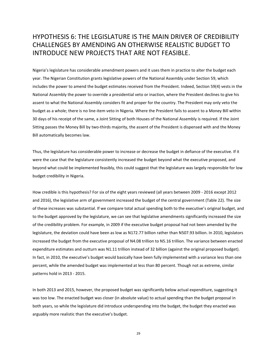#### HYPOTHESIS 6: THE LEGISLATURE IS THE MAIN DRIVER OF CREDIBILITY CHALLENGES BY AMENDING AN OTHERWISE REALISTIC BUDGET TO INTRODUCE NEW PROJECTS THAT ARE NOT FEASIBLE.

Nigeria's legislature has considerable amendment powers and it uses them in practice to alter the budget each year. The Nigerian Constitution grants legislative powers of the National Assembly under Section 59, which includes the power to amend the budget estimates received from the President. Indeed, Section 59(4) vests in the National Assembly the power to override a presidential veto or inaction, where the President declines to give his assent to what the National Assembly considers fit and proper for the country. The President may only veto the budget as a whole; there is no line-item veto in Nigeria. Where the President fails to assent to a Money Bill within 30 days of his receipt of the same, a Joint Sitting of both Houses of the National Assembly is required. If the Joint Sitting passes the Money Bill by two-thirds majority, the assent of the President is dispensed with and the Money Bill automatically becomes law.

Thus, the legislature has considerable power to increase or decrease the budget in defiance of the executive. If it were the case that the legislature consistently increased the budget beyond what the executive proposed, and beyond what could be implemented feasibly, this could suggest that the legislature was largely responsible for low budget credibility in Nigeria.

How credible is this hypothesis? For six of the eight years reviewed (all years between 2009 - 2016 except 2012 and 2016), the legislative arm of government increased the budget of the central government (Table 22). The size of these increases was substantial. If we compare total actual spending both to the executive's original budget, and to the budget approved by the legislature, we can see that legislative amendments significantly increased the size of the credibility problem. For example, in 2009 if the executive budget proposal had not been amended by the legislature, the deviation could have been as low as N172.77 billion rather than N507.93 billion. In 2010, legislators increased the budget from the executive proposal of N4.08 trillion to N5.16 trillion. The variance between enacted expenditure estimates and outturn was N1.11 trillion instead of 32 billion (against the original proposed budget). In fact, in 2010, the executive's budget would basically have been fully implemented with a variance less than one percent, while the amended budget was implemented at less than 80 percent. Though not as extreme, similar patterns hold in 2013 - 2015.

In both 2013 and 2015, however, the proposed budget was significantly below actual expenditure, suggesting it was too low. The enacted budget was closer (in absolute value) to actual spending than the budget proposal in both years, so while the legislature did introduce underspending into the budget, the budget they enacted was arguably more realistic than the executive's budget.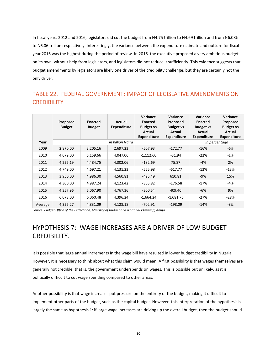In fiscal years 2012 and 2016, legislators did cut the budget from N4.75 trillion to N4.69 trillion and from N6.08tn to N6.06 trillion respectively. Interestingly, the variance between the expenditure estimate and outturn for fiscal year 2016 was the highest during the period of review. In 2016, the executive proposed a very ambitious budget on its own, without help from legislators, and legislators did not reduce it sufficiently. This evidence suggests that budget amendments by legislators are likely one driver of the credibility challenge, but they are certainly not the only driver.

#### TABLE 22. FEDERAL GOVERNMENT: IMPACT OF LEGISLATIVE AMENDMENTS ON **CREDIBILITY**

|         | Proposed<br><b>Budget</b> | <b>Enacted</b><br><b>Budget</b> | Actual<br><b>Expenditure</b> | Variance<br><b>Enacted</b><br><b>Budget vs</b><br>Actual<br><b>Expenditure</b> | Variance<br>Proposed<br><b>Budget vs</b><br>Actual<br><b>Expenditure</b> | Variance<br><b>Enacted</b><br><b>Budget vs</b><br>Actual<br><b>Expenditure</b> | Variance<br>Proposed<br><b>Budget vs</b><br>Actual<br><b>Expenditure</b> |
|---------|---------------------------|---------------------------------|------------------------------|--------------------------------------------------------------------------------|--------------------------------------------------------------------------|--------------------------------------------------------------------------------|--------------------------------------------------------------------------|
| Year    |                           |                                 | in billion Naira             |                                                                                |                                                                          |                                                                                | in percentage                                                            |
| 2009    | 2,870.00                  | 3,205.16                        | 2,697.23                     | $-507.93$                                                                      | $-172.77$                                                                | $-16%$                                                                         | $-6%$                                                                    |
| 2010    | 4,079.00                  | 5,159.66                        | 4,047.06                     | $-1,112.60$                                                                    | $-31.94$                                                                 | $-22%$                                                                         | $-1%$                                                                    |
| 2011    | 4,226.19                  | 4,484.75                        | 4,302.06                     | $-182.69$                                                                      | 75.87                                                                    | $-4%$                                                                          | 2%                                                                       |
| 2012    | 4,749.00                  | 4,697.21                        | 4,131.23                     | $-565.98$                                                                      | $-617.77$                                                                | $-12%$                                                                         | $-13%$                                                                   |
| 2013    | 3,950.00                  | 4,986.30                        | 4,560.81                     | $-425.49$                                                                      | 610.81                                                                   | $-9%$                                                                          | 15%                                                                      |
| 2014    | 4,300.00                  | 4.987.24                        | 4,123.42                     | $-863.82$                                                                      | $-176.58$                                                                | $-17%$                                                                         | -4%                                                                      |
| 2015    | 4,357.96                  | 5,067.90                        | 4,767.36                     | $-300.54$                                                                      | 409.40                                                                   | $-6%$                                                                          | 9%                                                                       |
| 2016    | 6,078.00                  | 6,060.48                        | 4,396.24                     | $-1,664.24$                                                                    | $-1,681.76$                                                              | $-27%$                                                                         | $-28%$                                                                   |
| Average | 4,326.27                  | 4,831.09                        | 4,128.18                     | $-702.91$                                                                      | $-198.09$                                                                | $-14%$                                                                         | $-3%$                                                                    |

*Source: Budget Office of the Federation, Ministry of Budget and National Planning, Abuja.*

#### HYPOTHESIS 7: WAGE INCREASES ARE A DRIVER OF LOW BUDGET CREDIBILITY.

It is possible that large annual increments in the wage bill have resulted in lower budget credibility in Nigeria. However, it is necessary to think about what this claim would mean. A first possibility is that wages themselves are generally not credible: that is, the government underspends on wages. This is possible but unlikely, as it is politically difficult to cut wage spending compared to other areas.

Another possibility is that wage increases put pressure on the entirety of the budget, making it difficult to implement other parts of the budget, such as the capital budget. However, this interpretation of the hypothesis is largely the same as hypothesis 1: if large wage increases are driving up the overall budget, then the budget should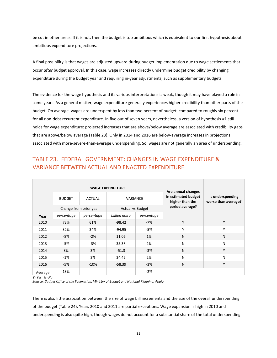be cut in other areas. If it is not, then the budget is too ambitious which is equivalent to our first hypothesis about ambitious expenditure projections.

A final possibility is that wages are adjusted upward during budget implementation due to wage settlements that occur *after* budget approval. In this case, wage increases directly undermine budget credibility by changing expenditure during the budget year and requiring in-year adjustments, such as supplementary budgets.

The evidence for the wage hypothesis and its various interpretations is weak, though it may have played a role in some years. As a general matter, wage expenditure generally experiences higher credibility than other parts of the budget. On average, wages are underspent by less than two percent of budget, compared to roughly six percent for all non-debt recurrent expenditure. In five out of seven years, nevertheless, a version of hypothesis #1 still holds for wage expenditure: projected increases that are above/below average are associated with credibility gaps that are above/below average (Table 23). Only in 2014 and 2016 are below-average increases in projections associated with more-severe-than-average underspending. So, wages are not generally an area of underspending.

#### TABLE 23. FEDERAL GOVERNMENT: CHANGES IN WAGE EXPENDITURE & VARIANCE BETWEEN ACTUAL AND ENACTED EXPENDITURE

|         |               |                        | <b>WAGE EXPENDITURE</b>     |       | Are annual changes                     |                                         |  |
|---------|---------------|------------------------|-----------------------------|-------|----------------------------------------|-----------------------------------------|--|
|         | <b>BUDGET</b> | <b>ACTUAL</b>          | <b>VARIANCE</b>             |       | in estimated budget<br>higher than the | Is underspending<br>worse than average? |  |
|         |               | Change from prior year | <b>Actual vs Budget</b>     |       | period average?                        |                                         |  |
| Year    | percentage    | percentage             | billion naira<br>percentage |       |                                        |                                         |  |
| 2010    | 73%           | 61%                    | $-98.42$                    | $-7%$ | Y                                      | Y                                       |  |
| 2011    | 32%           | 34%                    | $-94.95$                    | -5%   | Y                                      | Υ                                       |  |
| 2012    | -8%           | $-2%$                  | 11.06                       | 1%    | N                                      | N                                       |  |
| 2013    | -5%           | $-3%$                  | 35.38                       | 2%    | N                                      | N                                       |  |
| 2014    | 8%            | 3%                     | $-51.3$                     | $-3%$ | N                                      | Υ                                       |  |
| 2015    | $-1%$         | 3%                     | 34.42                       | 2%    | N                                      | N                                       |  |
| 2016    | $-5%$         | $-10%$                 | $-58.39$                    | $-3%$ | N                                      | Υ                                       |  |
| Average | 13%           |                        |                             | $-2%$ |                                        |                                         |  |

*Y=Yes N=No*

*Source: Budget Office of the Federation, Ministry of Budget and National Planning, Abuja.*

There is also little association between the size of wage bill increments and the size of the overall underspending of the budget (Table 24). Years 2010 and 2011 are partial exceptions. Wage expansion is high in 2010 and underspending is also quite high, though wages do not account for a substantial share of the total underspending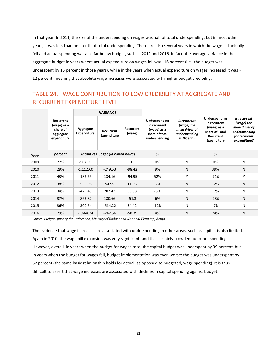in that year. In 2011, the size of the underspending on wages was half of total underspending, but in most other years, it was less than one tenth of total underspending. There are also several years in which the wage bill actually fell and actual spending was also far below budget, such as 2012 and 2016. In fact, the average variance in the aggregate budget in years where actual expenditure on wages fell was -16 percent (i.e., the budget was underspent by 16 percent in those years), while in the years when actual expenditure on wages increased it was - 12 percent, meaning that absolute wage increases were associated with higher budget credibility.

#### TABLE 24. WAGE CONTRIBUTION TO LOW CREDIBILITY AT AGGREGATE AND RECURRENT EXPENDITURE LEVEL

|      |                                                                  |                                     | <b>VARIANCE</b>                 |                     |                                                                                 |                                                                              |                                                                                                   |                                                                                                |
|------|------------------------------------------------------------------|-------------------------------------|---------------------------------|---------------------|---------------------------------------------------------------------------------|------------------------------------------------------------------------------|---------------------------------------------------------------------------------------------------|------------------------------------------------------------------------------------------------|
|      | Recurrent<br>(wage) as a<br>share of<br>aggregate<br>expenditure | Aggregate<br><b>Expenditure</b>     | Recurrent<br><b>Expenditure</b> | Recurrent<br>(wage) | Underspending<br>in recurrent<br>(wage) as a<br>share of total<br>underspending | Is recurrent<br>(wage) the<br>main driver of<br>underspending<br>in Nigeria? | Underspending<br>in recurrent<br>(wage) as a<br>share of Total<br>Recurrent<br><b>Expenditure</b> | Is recurrent<br>(wage) the<br>main driver of<br>underspending<br>for recurrent<br>expenditure? |
| Year | percent                                                          | Actual vs Budget (in billion naira) |                                 |                     | %                                                                               |                                                                              | %                                                                                                 |                                                                                                |
| 2009 | 27%                                                              | -507.93                             |                                 | $\Omega$            | 0%                                                                              | N                                                                            | 0%                                                                                                | N                                                                                              |
| 2010 | 29%                                                              | $-1,112.60$                         | $-249.53$                       | $-98.42$            | 9%                                                                              | N                                                                            | 39%                                                                                               | N                                                                                              |
| 2011 | 43%                                                              | $-182.69$                           | 134.16                          | $-94.95$            | 52%                                                                             | Υ                                                                            | $-71%$                                                                                            | Υ                                                                                              |
| 2012 | 38%                                                              | $-565.98$                           | 94.95                           | 11.06               | $-2%$                                                                           | N                                                                            | 12%                                                                                               | N                                                                                              |
| 2013 | 34%                                                              | -425.49                             | 207.43                          | 35.38               | $-8%$                                                                           | N                                                                            | 17%                                                                                               | N                                                                                              |
| 2014 | 37%                                                              | $-863.82$                           | 180.66                          | $-51.3$             | 6%                                                                              | N                                                                            | $-28%$                                                                                            | N                                                                                              |
| 2015 | 36%                                                              | $-300.54$                           | $-514.22$                       | 34.42               | $-12%$                                                                          | N                                                                            | -7%                                                                                               | N                                                                                              |
| 2016 | 29%                                                              | $-1,664.24$                         | $-242.56$                       | $-58.39$            | 4%                                                                              | N                                                                            | 24%                                                                                               | N                                                                                              |

*Source: Budget Office of the Federation, Ministry of Budget and National Planning, Abuja.*

The evidence that wage increases are associated with underspending in other areas, such as capital, is also limited. Again in 2010, the wage bill expansion was very significant, and this certainly crowded out other spending. However, overall, in years when the budget for wages rose, the capital budget was underspent by 39 percent, but in years when the budget for wages fell, budget implementation was even worse: the budget was underspent by 52 percent (the same basic relationship holds for actual, as opposed to budgeted, wage spending). It is thus difficult to assert that wage increases are associated with declines in capital spending against budget.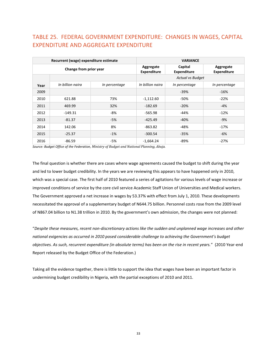#### TABLE 25. FEDERAL GOVERNMENT EXPENDITURE: CHANGES IN WAGES, CAPITAL EXPENDITURE AND AGGREGATE EXPENDITURE

|                        | Recurrent (wage) expenditure estimate |               | <b>VARIANCE</b>                 |                               |                                 |  |
|------------------------|---------------------------------------|---------------|---------------------------------|-------------------------------|---------------------------------|--|
| Change from prior year |                                       |               | Aggregate<br><b>Expenditure</b> | Capital<br><b>Expenditure</b> | Aggregate<br><b>Expenditure</b> |  |
|                        |                                       |               | <b>Actual vs Budget</b>         |                               |                                 |  |
| Year                   | In billion naira                      | In percentage | In billion naira                | In percentage                 | In percentage                   |  |
| 2009                   |                                       |               |                                 | $-39%$                        | $-16%$                          |  |
| 2010                   | 621.88                                | 73%           | $-1,112.60$                     | $-50%$                        | $-22%$                          |  |
| 2011                   | 469.99                                | 32%           | $-182.69$                       | $-20%$                        | -4%                             |  |
| 2012                   | $-149.31$                             | -8%           | -565.98                         | $-44%$                        | $-12%$                          |  |
| 2013                   | $-81.37$                              | $-5%$         | $-425.49$                       | $-40%$                        | $-9%$                           |  |
| 2014                   | 142.06                                | 8%            | $-863.82$                       | $-48%$                        | $-17%$                          |  |
| 2015                   | $-25.37$                              | $-1%$         | $-300.54$                       | $-35%$                        | -6%                             |  |
| 2016                   | $-86.59$                              | -5%           | $-1,664.24$                     | $-89%$                        | $-27%$                          |  |

*Source: Budget Office of the Federation, Ministry of Budget and National Planning, Abuja.*

The final question is whether there are cases where wage agreements caused the budget to shift during the year and led to lower budget credibility. In the years we are reviewing this appears to have happened only in 2010, which was a special case. The first half of 2010 featured a series of agitations for various levels of wage increase or improved conditions of service by the core civil service Academic Staff Union of Universities and Medical workers. The Government approved a net increase in wages by 53.37% with effect from July 1, 2010. These developments necessitated the approval of a supplementary budget of N644.75 billion. Personnel costs rose from the 2009 level of N867.04 billion to N1.38 trillion in 2010. By the government's own admission, the changes were not planned:

"*Despite these measures, recent non-discretionary actions like the sudden and unplanned wage increases and other national exigencies as occurred in 2010 posed considerable challenge to achieving the Government's budget objectives. As such, recurrent expenditure (in absolute terms) has been on the rise in recent years.*" (2010 Year-end Report released by the Budget Office of the Federation.)

Taking all the evidence together, there is little to support the idea that wages have been an important factor in undermining budget credibility in Nigeria, with the partial exceptions of 2010 and 2011.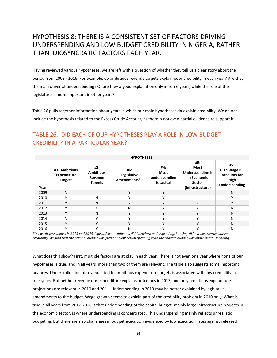## HYPOTHESIS 8: THERE IS A CONSISTENT SET OF FACTORS DRIVING UNDERSPENDING AND LOW BUDGET CREDIBILITY IN NIGERIA, RATHER THAN IDIOSYNCRATIC FACTORS EACH YEAR.

Having reviewed various hypotheses, we are left with a question of whether they tell us a clear story about the period from 2009 - 2016. For example, do ambitious revenue targets explain poor credibility in each year? Are they the main driver of underspending? Or are they a good explanation only in some years, while the role of the legislature is more important in other years?

Table 26 pulls together information about years in which our main hypotheses do explain credibility. We do not include the hypothesis related to the Excess Crude Account, as there is not even partial evidence to support it.

#### TABLE 26. DID EACH OF OUR HYPOTHESES PLAY A ROLE IN LOW BUDGET CREDIBILITY IN A PARTICULAR YEAR?

| <b>HYPOTHESES:</b> |                                                |                                                      |                                    |                                            |                                                                                            |                                                                              |  |  |  |  |
|--------------------|------------------------------------------------|------------------------------------------------------|------------------------------------|--------------------------------------------|--------------------------------------------------------------------------------------------|------------------------------------------------------------------------------|--|--|--|--|
| Year               | #1: Ambitious<br>Expenditure<br><b>Targets</b> | #2:<br><b>Ambitious</b><br>Revenue<br><b>Targets</b> | #6:<br>Legislative<br>Amendments** | #4:<br>Most<br>underspending<br>is capital | #5:<br><b>Most</b><br><b>Underspending is</b><br>in Economic<br>Sector<br>(Infrastructure) | #7:<br><b>High Wage Bill</b><br><b>Accounts for</b><br>High<br>Underspending |  |  |  |  |
| 2009               | N                                              |                                                      | ٧                                  | v                                          |                                                                                            | N                                                                            |  |  |  |  |
| 2010               | v                                              | N                                                    |                                    | v                                          | ٠                                                                                          | $\checkmark$                                                                 |  |  |  |  |
| 2011               | v                                              | N                                                    | v                                  | v                                          | -                                                                                          | $\mathsf{v}$                                                                 |  |  |  |  |
| 2012               |                                                | v                                                    | N                                  |                                            |                                                                                            | N                                                                            |  |  |  |  |
| 2013               | $\mathbf v$                                    | N                                                    | $\mathbf v$                        | v                                          | $\mathbf{v}$                                                                               | N                                                                            |  |  |  |  |
| 2014               | Ν                                              | $\mathbf v$                                          | v                                  |                                            |                                                                                            | N                                                                            |  |  |  |  |
| 2015               | $\mathbf v$                                    | $\mathbf v$                                          | $\mathbf v$                        | $\mathbf{v}$                               | $\mathbf v$                                                                                | N                                                                            |  |  |  |  |
| 2016               |                                                | $\mathbf{v}$                                         | Ν                                  |                                            |                                                                                            | N                                                                            |  |  |  |  |

*\*\*As we discuss above, in 2013 and 2015, legislative amendments did introduce underspending, but they did not necessarily worsen credibility. We find that the original budget was farther below actual spending than the enacted budget was above actual spending.*

What does this show? First, multiple factors are at play in each year. There is not even one year where none of our hypotheses is true, and in all years, more than two of them are relevant. The table also suggests some important nuances. Under-collection of revenue tied to ambitious expenditure targets is associated with low credibility in four years. But neither revenue nor expenditure explains outcomes in 2013, and only ambitious expenditure projections are relevant in 2010 and 2011. Underspending in 2013 may be better explained by legislative amendments to the budget. Wage growth seems to explain part of the credibility problem in 2010 only. What is true in all years from 2012-2016 is that underspending of the capital budget, mainly large infrastructure projects in the economic sector, is where underspending is concentrated. This underspending mainly reflects unrealistic budgeting, but there are also challenges in budget execution evidenced by low execution rates against released